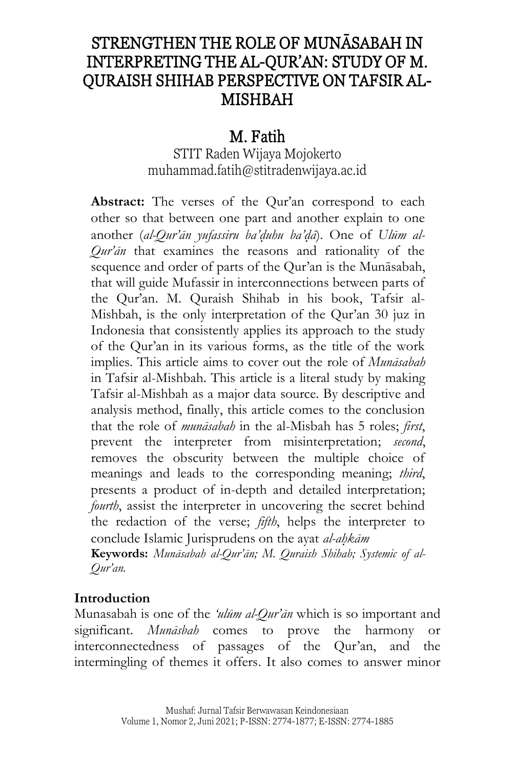# STRENGTHEN THE ROLE OF MUNĀSABAH IN INTERPRETING THE AL-QUR'AN: STUDY OF M. QURAISH SHIHAB PERSPECTIVE ON TAFSIR AL-MISHBAH

## M. Fatih

STIT Raden Wijaya Mojokerto [muhammad.fatih@stitradenwijaya.ac.id](mailto:muhammad.fatih@stitradenwijaya.ac.id)

**Abstract:** The verses of the Qur'an correspond to each other so that between one part and another explain to one another (*al-Qur'ān yufassiru ba'd*}*uhu ba'd*}*ā*). One of *Ulūm al-Qur'ān* that examines the reasons and rationality of the sequence and order of parts of the Qur'an is the Munāsabah, that will guide Mufassir in interconnections between parts of the Qur'an. M. Quraish Shihab in his book, Tafsir al-Mishbah, is the only interpretation of the Qur'an 30 juz in Indonesia that consistently applies its approach to the study of the Qur'an in its various forms, as the title of the work implies. This article aims to cover out the role of *Munāsabah* in Tafsir al-Mishbah. This article is a literal study by making Tafsir al-Mishbah as a major data source. By descriptive and analysis method, finally, this article comes to the conclusion that the role of *munāsabah* in the al-Misbah has 5 roles; *first*, prevent the interpreter from misinterpretation; *second*, removes the obscurity between the multiple choice of meanings and leads to the corresponding meaning; *third*, presents a product of in-depth and detailed interpretation; *fourth*, assist the interpreter in uncovering the secret behind the redaction of the verse; *fifth*, helps the interpreter to conclude Islamic Jurisprudens on the ayat *al-ah*}*kām*

**Keywords:** *Munāsabah al-Qur'ān; M. Quraish Shihab; Systemic of al-Qur'an.* 

#### **Introduction**

Munasabah is one of the *'ulūm al-Qur'ān* which is so important and significant. *Munāsbah* comes to prove the harmony or interconnectedness of passages of the Qur'an, and the intermingling of themes it offers. It also comes to answer minor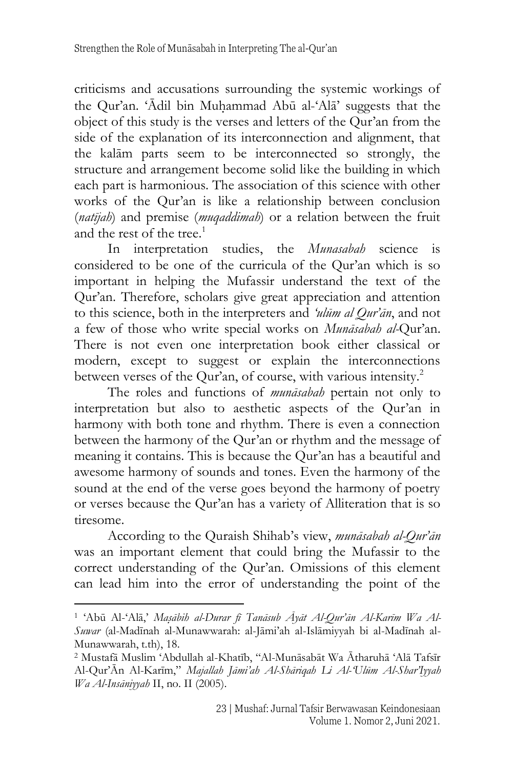criticisms and accusations surrounding the systemic workings of the Qur'an. 'Ādil bin Muhammad Abū al-'Alā' suggests that the object of this study is the verses and letters of the Qur'an from the side of the explanation of its interconnection and alignment, that the kalām parts seem to be interconnected so strongly, the structure and arrangement become solid like the building in which each part is harmonious. The association of this science with other works of the Qur'an is like a relationship between conclusion (*natījah*) and premise (*muqaddimah*) or a relation between the fruit and the rest of the tree. 1

In interpretation studies, the *Munasabah* science is considered to be one of the curricula of the Qur'an which is so important in helping the Mufassir understand the text of the Qur'an. Therefore, scholars give great appreciation and attention to this science, both in the interpreters and *'ulūm al Qur'ān*, and not a few of those who write special works on *Munāsabah al-*Qur'an. There is not even one interpretation book either classical or modern, except to suggest or explain the interconnections between verses of the Qur'an, of course, with various intensity.<sup>2</sup>

The roles and functions of *munāsabah* pertain not only to interpretation but also to aesthetic aspects of the Qur'an in harmony with both tone and rhythm. There is even a connection between the harmony of the Qur'an or rhythm and the message of meaning it contains. This is because the Qur'an has a beautiful and awesome harmony of sounds and tones. Even the harmony of the sound at the end of the verse goes beyond the harmony of poetry or verses because the Qur'an has a variety of Alliteration that is so tiresome.

According to the Quraish Shihab's view, *munāsabah al-Qur'ān* was an important element that could bring the Mufassir to the correct understanding of the Qur'an. Omissions of this element can lead him into the error of understanding the point of the

<sup>1</sup> 'Abū Al-'Alā,' *Mas*}*ābih al-Durar fī Tanāsub Āyāt Al-Qur'ān Al-Karīm Wa Al-Suwar* (al-Madīnah al-Munawwarah: al-Jāmi'ah al-Islāmiyyah bi al-Madīnah al-Munawwarah, t.th), 18.

<sup>2</sup> Mustafā Muslim 'Abdullah al-Khatīb, "Al-Munāsabāt Wa Ātharuhā 'Alā Tafsīr Al-Qur'Ān Al-Karīm," *Majallah Jāmi'ah Al-Shāriqah Li Al-'Ulūm Al-Shar'Iyyah Wa Al-Insāniyyah* II, no. II (2005).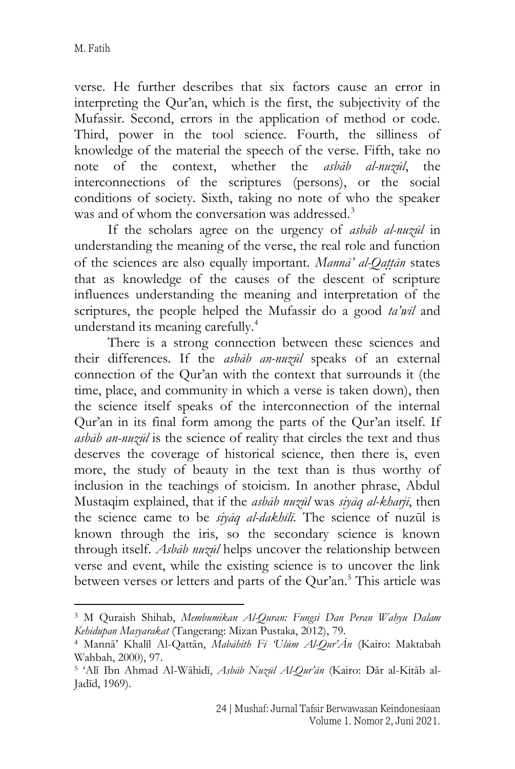verse. He further describes that six factors cause an error in interpreting the Qur'an, which is the first, the subjectivity of the Mufassir. Second, errors in the application of method or code. Third, power in the tool science. Fourth, the silliness of knowledge of the material the speech of the verse. Fifth, take no note of the context, whether the *asbāb al-nuzūl*, the interconnections of the scriptures (persons), or the social conditions of society. Sixth, taking no note of who the speaker was and of whom the conversation was addressed.<sup>3</sup>

If the scholars agree on the urgency of *asbāb al-nuzūl* in understanding the meaning of the verse, the real role and function of the sciences are also equally important. *Mannā' al-Qat*}*t*}*ān* states that as knowledge of the causes of the descent of scripture influences understanding the meaning and interpretation of the scriptures, the people helped the Mufassir do a good *ta'wīl* and understand its meaning carefully. 4

There is a strong connection between these sciences and their differences. If the *asbāb an-nuzūl* speaks of an external connection of the Qur'an with the context that surrounds it (the time, place, and community in which a verse is taken down), then the science itself speaks of the interconnection of the internal Qur'an in its final form among the parts of the Qur'an itself. If *asbāb an-nuzūl* is the science of reality that circles the text and thus deserves the coverage of historical science, then there is, even more, the study of beauty in the text than is thus worthy of inclusion in the teachings of stoicism. In another phrase, Abdul Mustaqim explained, that if the *asbāb nuzūl* was *siyāq al-kharjī*, then the science came to be *siyāq al-dakhīlī*. The science of nuzūl is known through the iris, so the secondary science is known through itself. *Asbāb nuzūl* helps uncover the relationship between verse and event, while the existing science is to uncover the link between verses or letters and parts of the Qur'an.<sup>5</sup> This article was

<sup>3</sup> M Quraish Shihab, *Membumikan Al-Quran: Fungsi Dan Peran Wahyu Dalam Kehidupan Masyarakat* (Tangerang: Mizan Pustaka, 2012), 79.

<sup>4</sup> Mannā' Khalīl Al-Qattān, *Mabāhith Fī 'Ulūm Al-Qur'Ān* (Kairo: Maktabah Wahbah, 2000), 97.

<sup>5</sup> 'Alī Ibn Ahmad Al-Wāhidī, *Asbāb Nuzūl Al-Qur'ān* (Kairo: Dār al-Kitāb al-Jadīd, 1969).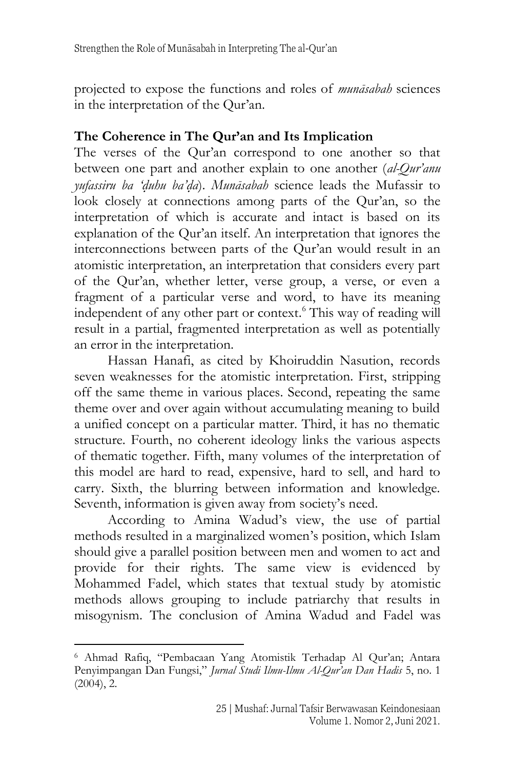projected to expose the functions and roles of *munāsabah* sciences in the interpretation of the Qur'an.

## **The Coherence in The Qur'an and Its Implication**

The verses of the Qur'an correspond to one another so that between one part and another explain to one another (*al-Qur'anu yufassiru ba 'd*}*uhu ba'd*}*a*). *Munāsabah* science leads the Mufassir to look closely at connections among parts of the Qur'an, so the interpretation of which is accurate and intact is based on its explanation of the Qur'an itself. An interpretation that ignores the interconnections between parts of the Qur'an would result in an atomistic interpretation, an interpretation that considers every part of the Qur'an, whether letter, verse group, a verse, or even a fragment of a particular verse and word, to have its meaning independent of any other part or context.<sup>6</sup> This way of reading will result in a partial, fragmented interpretation as well as potentially an error in the interpretation.

Hassan Hanafi, as cited by Khoiruddin Nasution, records seven weaknesses for the atomistic interpretation. First, stripping off the same theme in various places. Second, repeating the same theme over and over again without accumulating meaning to build a unified concept on a particular matter. Third, it has no thematic structure. Fourth, no coherent ideology links the various aspects of thematic together. Fifth, many volumes of the interpretation of this model are hard to read, expensive, hard to sell, and hard to carry. Sixth, the blurring between information and knowledge. Seventh, information is given away from society's need.

According to Amina Wadud's view, the use of partial methods resulted in a marginalized women's position, which Islam should give a parallel position between men and women to act and provide for their rights. The same view is evidenced by Mohammed Fadel, which states that textual study by atomistic methods allows grouping to include patriarchy that results in misogynism. The conclusion of Amina Wadud and Fadel was

<sup>6</sup> Ahmad Rafiq, "Pembacaan Yang Atomistik Terhadap Al Qur'an; Antara Penyimpangan Dan Fungsi," *Jurnal Studi Ilmu-Ilmu Al-Qur'an Dan Hadis* 5, no. 1  $(2004)$ , 2.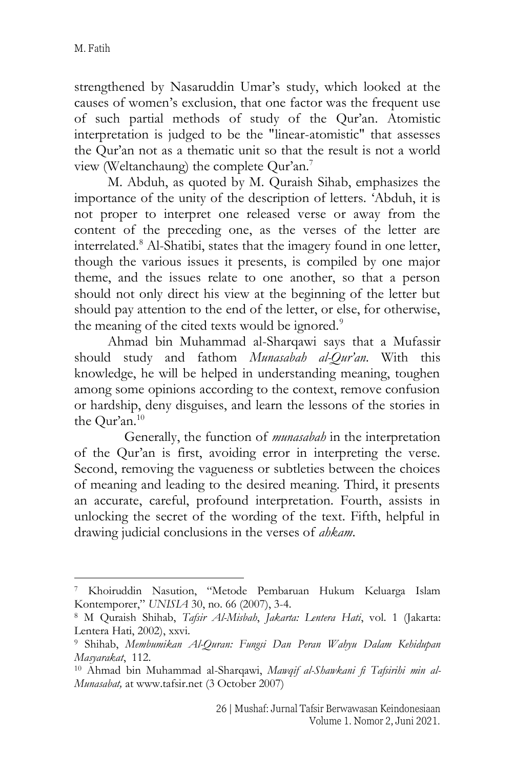strengthened by Nasaruddin Umar's study, which looked at the causes of women's exclusion, that one factor was the frequent use of such partial methods of study of the Qur'an. Atomistic interpretation is judged to be the "linear-atomistic" that assesses the Qur'an not as a thematic unit so that the result is not a world view (Weltanchaung) the complete Qur'an.<sup>7</sup>

M. Abduh, as quoted by M. Quraish Sihab, emphasizes the importance of the unity of the description of letters. 'Abduh, it is not proper to interpret one released verse or away from the content of the preceding one, as the verses of the letter are interrelated.<sup>8</sup> Al-Shatibi, states that the imagery found in one letter, though the various issues it presents, is compiled by one major theme, and the issues relate to one another, so that a person should not only direct his view at the beginning of the letter but should pay attention to the end of the letter, or else, for otherwise, the meaning of the cited texts would be ignored.<sup>9</sup>

Ahmad bin Muhammad al-Sharqawi says that a Mufassir should study and fathom *Munasabah al-Qur'an*. With this knowledge, he will be helped in understanding meaning, toughen among some opinions according to the context, remove confusion or hardship, deny disguises, and learn the lessons of the stories in the Qur'an.<sup>10</sup>

Generally, the function of *munasabah* in the interpretation of the Qur'an is first, avoiding error in interpreting the verse. Second, removing the vagueness or subtleties between the choices of meaning and leading to the desired meaning. Third, it presents an accurate, careful, profound interpretation. Fourth, assists in unlocking the secret of the wording of the text. Fifth, helpful in drawing judicial conclusions in the verses of *ahkam*.

<sup>7</sup> Khoiruddin Nasution, "Metode Pembaruan Hukum Keluarga Islam Kontemporer," *UNISIA* 30, no. 66 (2007), 3-4.

<sup>8</sup> M Quraish Shihab, *Tafsir Al-Misbah*, *Jakarta: Lentera Hati*, vol. 1 (Jakarta: Lentera Hati, 2002), xxvi.

<sup>9</sup> Shihab, *Membumikan Al-Quran: Fungsi Dan Peran Wahyu Dalam Kehidupan Masyarakat*, 112.

<sup>10</sup> Ahmad bin Muhammad al-Sharqawi, *Mawqif al-Shawkani fi Tafsirihi min al-Munasabat,* at www.tafsir.net (3 October 2007)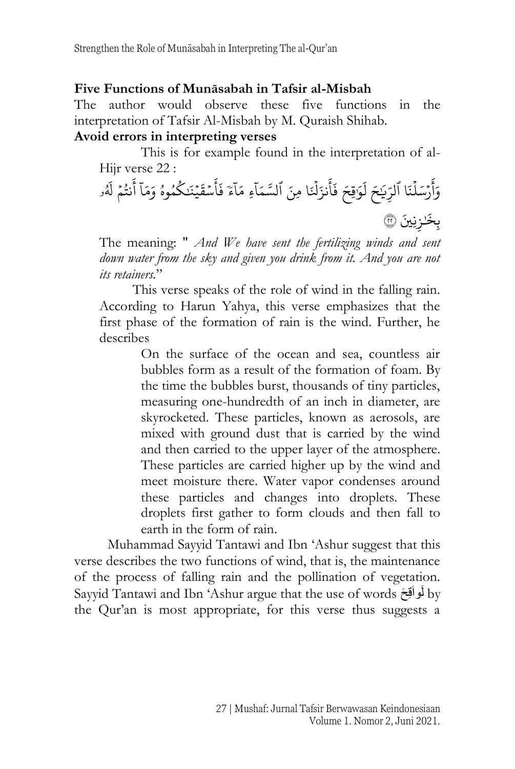#### **Five Functions of Munāsabah in Tafsir al-Misbah**

The author would observe these five functions in the interpretation of Tafsir Al-Misbah by M. Quraish Shihab.

#### **Avoid errors in interpreting verses**

This is for example found in the interpretation of al-Hijr verse 22 :

 $\ddot{\phantom{0}}$ ر وَأَرْسَلْنَا ٱلرِّيَـٰحَ لَوَا أ  $\tilde{1}$  $\overline{\phantom{a}}$ ً<br>آ لَوَٰقِحَ فَأَنزَلَٰٓ  $\frac{1}{1}$ ِ<br>په أ  $\ddot{\cdot}$ فَأَنزَلْنَا مِنَ ٱ  $\tilde{1}$ لسَّمَاءِ  $\tilde{1}$ مَآءَ فَأَسُ  $\overline{\phantom{a}}$ ِ<br>م أ  $\ddot{\cdot}$ فَأَسْقَيْنَكُمُوهُ  $\ddot{\phantom{0}}$ و ُ ر  $\tilde{1}$ وَمَاۤ أَنتُمۡ  $\overline{\phantom{a}}$ ُ ے<br>ع انتُمُ و ۔<br>آ لەر ֦֘ بِخَنزِنِينَ ۞

The meaning: " *And We have sent the fertilizing winds and sent down water from the sky and given you drink from it. And you are not its retainers.*"

This verse speaks of the role of wind in the falling rain. According to Harun Yahya, this verse emphasizes that the first phase of the formation of rain is the wind. Further, he describes

> On the surface of the ocean and sea, countless air bubbles form as a result of the formation of foam. By the time the bubbles burst, thousands of tiny particles, measuring one-hundredth of an inch in diameter, are skyrocketed. These particles, known as aerosols, are mixed with ground dust that is carried by the wind and then carried to the upper layer of the atmosphere. These particles are carried higher up by the wind and meet moisture there. Water vapor condenses around these particles and changes into droplets. These droplets first gather to form clouds and then fall to earth in the form of rain.

Muhammad Sayyid Tantawi and Ibn 'Ashur suggest that this verse describes the two functions of wind, that is, the maintenance of the process of falling rain and the pollination of vegetation. Sayyid Tantawi and Ibn 'Ashur argue that the use of words  $\epsilon$ فواَقِحَ by the Qur'an is most appropriate, for this verse thus suggests a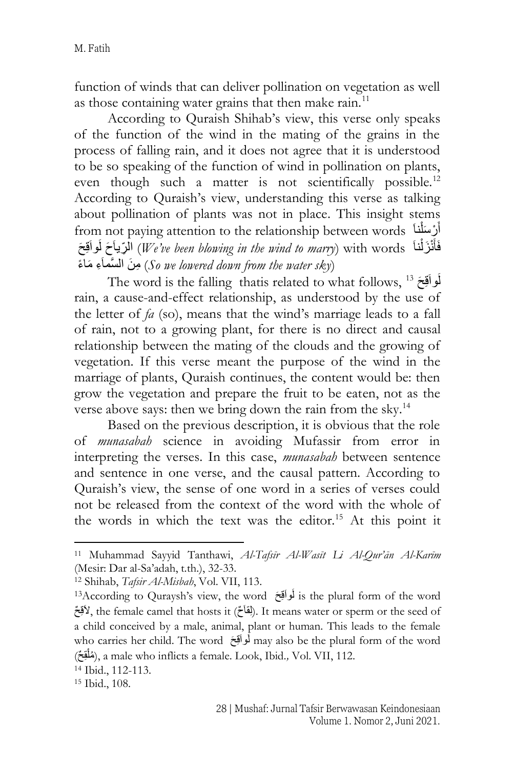function of winds that can deliver pollination on vegetation as well as those containing water grains that then make rain.<sup>11</sup>

According to Quraish Shihab's view, this verse only speaks of the function of the wind in the mating of the grains in the process of falling rain, and it does not agree that it is understood to be so speaking of the function of wind in pollination on plants, even though such a matter is not scientifically possible.<sup>12</sup> According to Quraish's view, understanding this verse as talking about pollination of plants was not in place. This insight stems from not paying attention to the relationship between words َنا ْر َسل أ ْ َ َح ِ رياَ َ ال حَ ِقَواَ َ ل) *We've been blowing in the wind to marry*) with words َنا ْن َزل فَأ َ ْ َ (*So we lowered down from the water sk*y) مِنَ السَّمَاءِ مَاءً

The word is the falling  $\,$  thatis related to what follows,  $^{13}$  فَواقِعَ rain, a cause-and-effect relationship, as understood by the use of the letter of *fa* (so), means that the wind's marriage leads to a fall of rain, not to a growing plant, for there is no direct and causal relationship between the mating of the clouds and the growing of vegetation. If this verse meant the purpose of the wind in the marriage of plants, Quraish continues, the content would be: then grow the vegetation and prepare the fruit to be eaten, not as the verse above says: then we bring down the rain from the sky.<sup>14</sup>

Based on the previous description, it is obvious that the role of *munasabah* science in avoiding Mufassir from error in interpreting the verses. In this case, *munasabah* between sentence and sentence in one verse, and the causal pattern. According to Quraish's view, the sense of one word in a series of verses could not be released from the context of the word with the whole of the words in which the text was the editor.<sup>15</sup> At this point it

<sup>11</sup> Muhammad Sayyid Tanthawi, *Al-Tafsīr Al-Wasīt Li Al-Qur'ān Al-Karīm* (Mesir: Dar al-Sa'adah, t.th.), 32-33.

<sup>12</sup> Shihab, *Tafsir Al-Misbah*, Vol. VII, 113.

<sup>&</sup>lt;sup>13</sup>According to Quraysh's view, the word أَواقِعَ is the plural form of the word لِمَقَالِمُ). It means water or sperm or the seed of a child conceived by a male, animal, plant or human. This leads to the female who carries her child. The word لَواَقِحَ may also be the plural form of the word ِق ح) ملُ( , a male who inflicts a female. Look, Ibid.*,* Vol. VII, 112. ْ

<sup>14</sup> Ibid., 112-113.

<sup>15</sup> Ibid., 108.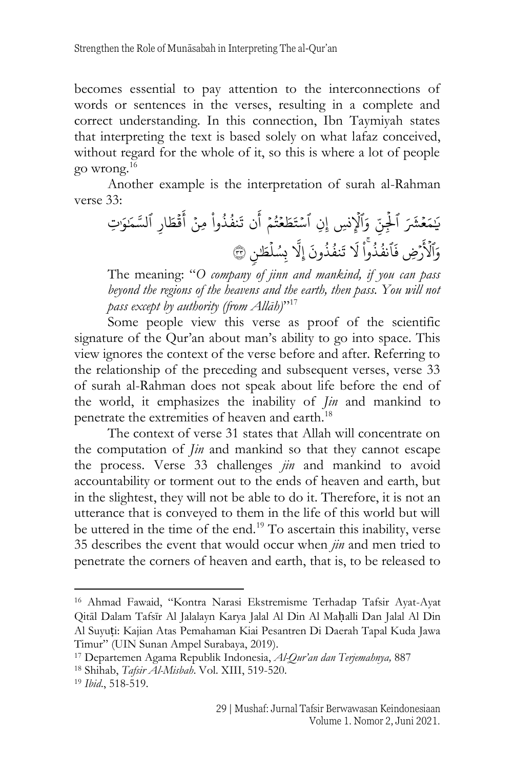becomes essential to pay attention to the interconnections of words or sentences in the verses, resulting in a complete and correct understanding. In this connection, Ibn Taymiyah states that interpreting the text is based solely on what lafaz conceived, without regard for the whole of it, so this is where a lot of people go wrong.<sup>16</sup>

Another example is the interpretation of surah al-Rahman verse 33:

 َ ي ع َ م َ َ ِّ شۡۡٱ ل ِّ نۡۡ َ ِّ وٱۡ ِّ ِّنۡۡٱ لن ِّسۡۡإ س ع َ ط َ ت م ُ ت ۡۡ ن َ أ ۡۡ وا ُ ذ ُ نف َ ت ۡۡ مِّنۡۡ ق َ أ ِّ ار َ ط ۡۡٱ َ م لسَّ و ِّت َ َ وٱۡ َ لۡرضِّ ۡ َ فٱ وا ُ ذ ُ نف َ ل َ ون ُ ذ ُ نف َ ت َّ ِّل إ ل ِّسُ ب <sup>ن</sup> ٣٣ طَ

The meaning: "*O company of jinn and mankind, if you can pass beyond the regions of the heavens and the earth, then pass. You will not pass except by authority (from Allāh)*" 17

Some people view this verse as proof of the scientific signature of the Qur'an about man's ability to go into space. This view ignores the context of the verse before and after. Referring to the relationship of the preceding and subsequent verses, verse 33 of surah al-Rahman does not speak about life before the end of the world, it emphasizes the inability of *Jin* and mankind to penetrate the extremities of heaven and earth.<sup>18</sup>

The context of verse 31 states that Allah will concentrate on the computation of *Jin* and mankind so that they cannot escape the process. Verse 33 challenges *jin* and mankind to avoid accountability or torment out to the ends of heaven and earth, but in the slightest, they will not be able to do it. Therefore, it is not an utterance that is conveyed to them in the life of this world but will be uttered in the time of the end.<sup>19</sup> To ascertain this inability, verse 35 describes the event that would occur when *jin* and men tried to penetrate the corners of heaven and earth, that is, to be released to

<sup>16</sup> Ahmad Fawaid, "Kontra Narasi Ekstremisme Terhadap Tafsir Ayat-Ayat Qitāl Dalam Tafsīr Al Jalalayn Karya Jalal Al Din Al Maḥalli Dan Jalal Al Din Al Suyuṭi: Kajian Atas Pemahaman Kiai Pesantren Di Daerah Tapal Kuda Jawa Timur" (UIN Sunan Ampel Surabaya, 2019).

<sup>17</sup> Departemen Agama Republik Indonesia, *Al-Qur'an dan Terjemahnya,* 887

<sup>18</sup> Shihab, *Tafsir Al-Misbah*. Vol. XIII, 519-520.

<sup>19</sup> *Ibid*., 518-519.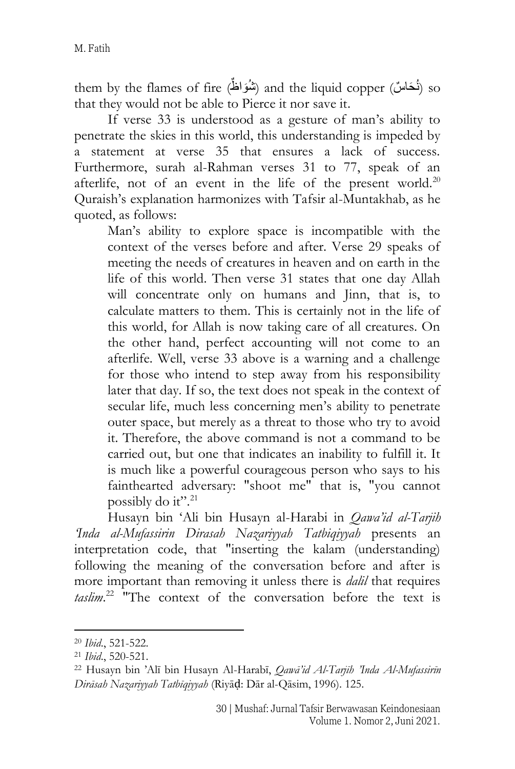them by the flames of fire (شُوَاظٌ) and the liquid copper (شُحَاسٌ) so that they would not be able to Pierce it nor save it.

If verse 33 is understood as a gesture of man's ability to penetrate the skies in this world, this understanding is impeded by a statement at verse 35 that ensures a lack of success. Furthermore, surah al-Rahman verses 31 to 77, speak of an afterlife, not of an event in the life of the present world.<sup>20</sup> Quraish's explanation harmonizes with Tafsir al-Muntakhab, as he quoted, as follows:

Man's ability to explore space is incompatible with the context of the verses before and after. Verse 29 speaks of meeting the needs of creatures in heaven and on earth in the life of this world. Then verse 31 states that one day Allah will concentrate only on humans and Jinn, that is, to calculate matters to them. This is certainly not in the life of this world, for Allah is now taking care of all creatures. On the other hand, perfect accounting will not come to an afterlife. Well, verse 33 above is a warning and a challenge for those who intend to step away from his responsibility later that day. If so, the text does not speak in the context of secular life, much less concerning men's ability to penetrate outer space, but merely as a threat to those who try to avoid it. Therefore, the above command is not a command to be carried out, but one that indicates an inability to fulfill it. It is much like a powerful courageous person who says to his fainthearted adversary: "shoot me" that is, "you cannot possibly do it".<sup>21</sup>

Husayn bin 'Ali bin Husayn al-Harabi in *Qawa'id al-Tarjih 'Inda al-Mufassirin Dirasah Nazariyyah Tatbiqiyyah* presents an interpretation code, that "inserting the kalam (understanding) following the meaning of the conversation before and after is more important than removing it unless there is *dalil* that requires *taslim*. <sup>22</sup> "The context of the conversation before the text is

<sup>20</sup> *Ibid*., 521-522.

<sup>21</sup> *Ibid*., 520-521.

<sup>22</sup> Husayn bin 'Alī bin Husayn Al-Harabī, *Qawā'id Al-Tarjīh 'Inda Al-Mufassirīn Dirāsah Nazariyyah Tatbīqiyyah* (Riyāḍ: Dār al-Qāsim, 1996). 125.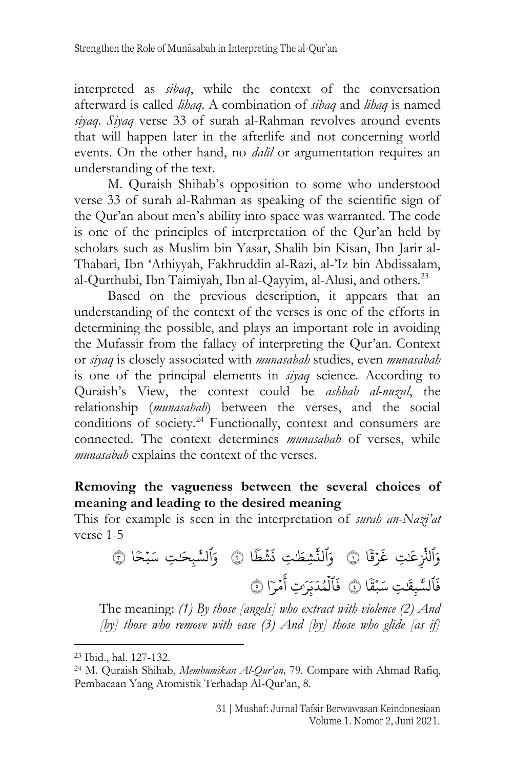interpreted as *sibaq*, while the context of the conversation afterward is called *lihaq*. A combination of *sibaq* and *lihaq* is named *siyaq*. *Siyaq* verse 33 of surah al-Rahman revolves around events that will happen later in the afterlife and not concerning world events. On the other hand, no *dalil* or argumentation requires an understanding of the text.

M. Quraish Shihab's opposition to some who understood verse 33 of surah al-Rahman as speaking of the scientific sign of the Qur'an about men's ability into space was warranted. The code is one of the principles of interpretation of the Qur'an held by scholars such as Muslim bin Yasar, Shalih bin Kisan, Ibn Jarir al-Thabari, Ibn 'Athiyyah, Fakhruddin al-Razi, al-'Iz bin Abdissalam, al-Qurthubi, Ibn Taimiyah, Ibn al-Qayyim, al-Alusi, and others.<sup>23</sup>

Based on the previous description, it appears that an understanding of the context of the verses is one of the efforts in determining the possible, and plays an important role in avoiding the Mufassir from the fallacy of interpreting the Qur'an. Context or *siyaq* is closely associated with *munasabah* studies, even *munasabah* is one of the principal elements in *siyaq* science. According to Quraish's View, the context could be *ashbab al-nuzul*, the relationship (*munasabah*) between the verses, and the social conditions of society.<sup>24</sup> Functionally, context and consumers are connected. The context determines *munasabah* of verses, while *munasabah* explains the context of the verses.

## **Removing the vagueness between the several choices of meaning and leading to the desired meaning**

This for example is seen in the interpretation of *surah an-Nazi'at* verse 1-5

وَٱلنَّزِ **أَبِّ** لثَّزِعَتِ غَرَ<sup>ْ</sup> ֦ׅ  $\ddot{\phantom{0}}$  $\ddot{\cdot}$ غ ِّقَا ۞ وَٱلنَّشِطَٰتِ نَشَّ ֦֘ 。<br>: نَشْطًا ۞ وَٱلشَّبِحَٰتِ سَبْحًا ۞ ن ֦֘  $\ddot{\phantom{0}}$  $\ddot{\cdot}$ فَٱلسَّبِقَٰتِ سَبَّ ֦֘  $\ddot{\phantom{0}}$  قا ٤ َ فَٱلۡمُدَبِّرَٰتِ أَمۡ ہ<br>1 ل  $\overline{a}$  $\ddot{\phantom{0}}$ ِ<br>أَمْرَا ۞ أ

The meaning: *(1) By those [angels] who extract with violence (2) And [by] those who remove with ease (3) And [by] those who glide [as if]* 

<sup>23</sup> Ibid., hal. 127-132.

<sup>24</sup> M. Quraish Shihab, *Membumikan Al-Qur'an,* 79. Compare with Ahmad Rafiq, Pembacaan Yang Atomistik Terhadap Al-Qur'an, 8.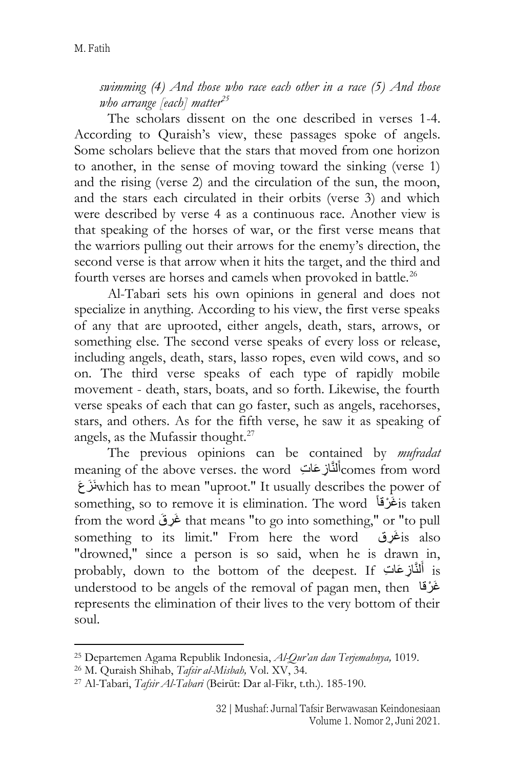*swimming (4) And those who race each other in a race (5) And those who arrange [each] matter<sup>25</sup>*

The scholars dissent on the one described in verses 1-4. According to Quraish's view, these passages spoke of angels. Some scholars believe that the stars that moved from one horizon to another, in the sense of moving toward the sinking (verse 1) and the rising (verse 2) and the circulation of the sun, the moon, and the stars each circulated in their orbits (verse 3) and which were described by verse 4 as a continuous race. Another view is that speaking of the horses of war, or the first verse means that the warriors pulling out their arrows for the enemy's direction, the second verse is that arrow when it hits the target, and the third and fourth verses are horses and camels when provoked in battle.<sup>26</sup>

Al-Tabari sets his own opinions in general and does not specialize in anything. According to his view, the first verse speaks of any that are uprooted, either angels, death, stars, arrows, or something else. The second verse speaks of every loss or release, including angels, death, stars, lasso ropes, even wild cows, and so on. The third verse speaks of each type of rapidly mobile movement - death, stars, boats, and so forth. Likewise, the fourth verse speaks of each that can go faster, such as angels, racehorses, stars, and others. As for the fifth verse, he saw it as speaking of angels, as the Mufassir thought.<sup>27</sup>

The previous opinions can be contained by *mufradat* meaning of the above verses. the word أَلْثَازِ عَاتِ ) $\,$  comes from word اُ ََزعَ َنwhich has to mean "uproot." It usually describes the power of something, so to remove it is elimination. The word ََرقاْ غَ is taken from the word غَرِقَ that means "to go into something," or "to pull something to its limit." From here the word is also "drowned," since a person is so said, when he is drawn in, probably, down to the bottom of the deepest. If أَلْنَّازِعَاتِ is َ understood to be angels of the removal of pagan men, then ََرقاْ غَ represents the elimination of their lives to the very bottom of their soul.

<sup>25</sup> Departemen Agama Republik Indonesia, *Al-Qur'an dan Terjemahnya,* 1019.

<sup>26</sup> M. Quraish Shihab, *Tafsir al-Misbah,* Vol. XV, 34.

<sup>27</sup> Al-Tabari, *Tafsir Al-Tabari* (Beirūt: Dar al-Fikr, t.th.). 185-190.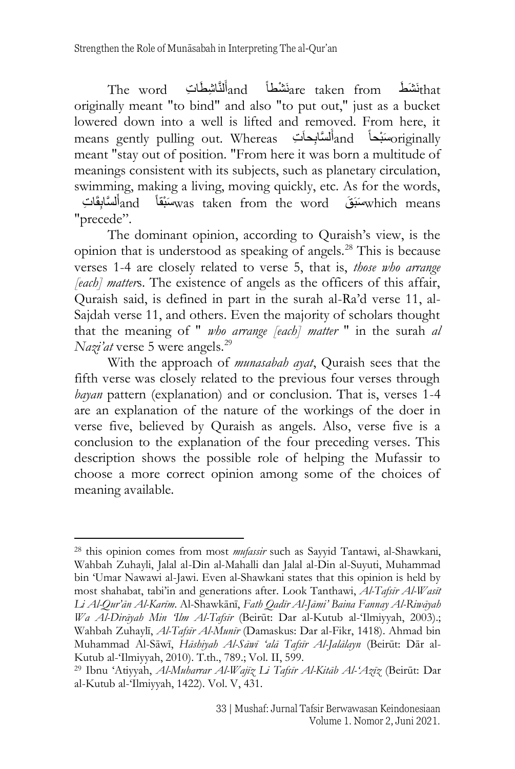The word أَنْشَطْ and أَنْتَاشِطْاَتِ The word أَيْنَا  $_{\rm and}$  ind  $_{\rm after}$  taken from َ originally meant "to bind" and also "to put out," just as a bucket lowered down into a well is lifted and removed. From here, it means gently pulling out. Whereas تَسْأَلِحانَتِ and أَستَابِحانَتِ means gently pulling out. Whereas َ meant "stay out of position. "From here it was born a multitude of meanings consistent with its subjects, such as planetary circulation, swimming, making a living, moving quickly, etc. As for the words, ِقَا ِت ل َّساب ََ أand بقاْ ََ سَ was taken from the word ََقَ َسبَ which means َ

"precede".

The dominant opinion, according to Quraish's view, is the opinion that is understood as speaking of angels.<sup>28</sup> This is because verses 1-4 are closely related to verse 5, that is, *those who arrange [each] matter*s. The existence of angels as the officers of this affair, Quraish said, is defined in part in the surah al-Ra'd verse 11, al-Sajdah verse 11, and others. Even the majority of scholars thought that the meaning of " *who arrange [each] matter* " in the surah *al Nazi'at* verse 5 were angels.<sup>29</sup>

With the approach of *munasabah ayat*, Quraish sees that the fifth verse was closely related to the previous four verses through *bayan* pattern (explanation) and or conclusion. That is, verses 1-4 are an explanation of the nature of the workings of the doer in verse five, believed by Quraish as angels. Also, verse five is a conclusion to the explanation of the four preceding verses. This description shows the possible role of helping the Mufassir to choose a more correct opinion among some of the choices of meaning available.

<sup>28</sup> this opinion comes from most *mufassir* such as Sayyid Tantawi, al-Shawkani, Wahbah Zuhayli, Jalal al-Din al-Mahalli dan Jalal al-Din al-Suyuti, Muhammad bin 'Umar Nawawi al-Jawi. Even al-Shawkani states that this opinion is held by most shahabat, tabi'in and generations after. Look Tanthawi, *Al-Tafsīr Al-Wasīt Li Al-Qur'ān Al-Karīm*. Al-Shawkānī, *Fath Qadīr Al-Jāmi' Baina Fannay Al-Riwāyah Wa Al-Dirāyah Min 'Ilm Al-Tafsīr* (Beirūt: Dar al-Kutub al-'Ilmiyyah, 2003).; Wahbah Zuhaylī, *Al-Tafsīr Al-Munīr* (Damaskus: Dar al-Fikr, 1418). Ahmad bin Muhammad Al-Sāwī, *Hāshiyah Al-Sāwī 'alā Tafsīr Al-Jalālayn* (Beirūt: Dār al-Kutub al-'Ilmiyyah, 2010). T.th., 789.; Vol. II, 599.

<sup>29</sup> Ibnu 'Atiyyah, *Al-Muharrar Al-Wajīz Li Tafsīr Al-Kitāb Al-'Azīz* (Beirūt: Dar al-Kutub al-'Ilmiyyah, 1422). Vol. V, 431.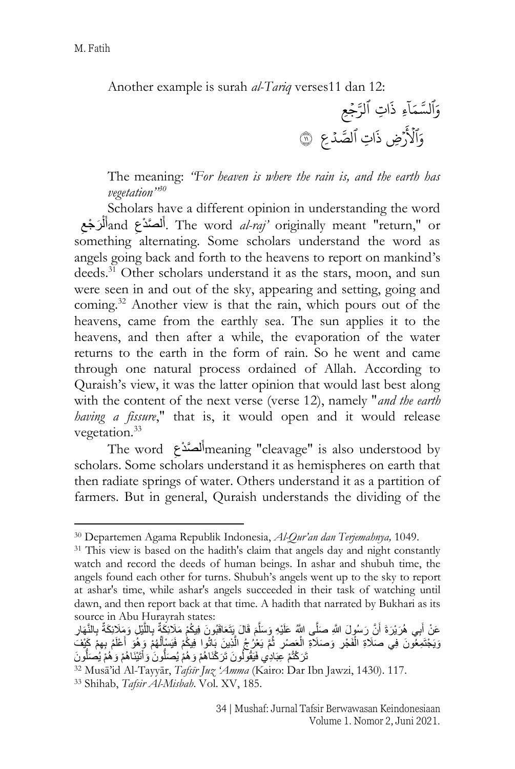Another example is surah *al-Tariq* verses11 dan 12:

وَّا  $\tilde{1}$ لسَّمَآءِ ذَاتِ ذَاتِ ٱلرَّجۡعِ  $\ddot{\phantom{0}}$ وَٱلۡأَرۡضِ ذَاتِ ٱلصَّدۡعِ ۞ ہ<br>آگ لاَرْضِ ذَاتِ  $\ddot{\cdot}$ ذَاتِ ٱلصَّدۡ عِ  $\ddot{\phantom{0}}$ 

The meaning: *"For heaven is where the rain is, and the earth has vegetation"<sup>30</sup>*

Scholars have a different opinion in understanding the word  $\zeta$ َر ْجع ل andأ ََ ل َّصدْع أ. The word *al-raj'* originally meant "return," or ْ َ ِ َ something alternating. Some scholars understand the word as angels going back and forth to the heavens to report on mankind's deeds.<sup>31</sup> Other scholars understand it as the stars, moon, and sun were seen in and out of the sky, appearing and setting, going and coming.<sup>32</sup> Another view is that the rain, which pours out of the heavens, came from the earthly sea. The sun applies it to the heavens, and then after a while, the evaporation of the water returns to the earth in the form of rain. So he went and came through one natural process ordained of Allah. According to Quraish's view, it was the latter opinion that would last best along with the content of the next verse (verse 12), namely "*and the earth having a fissure*," that is, it would open and it would release vegetation.<sup>33</sup>

The word ل َّصدْع ََ أmeaning "cleavage" is also understood by ِ َ scholars. Some scholars understand it as hemispheres on earth that then radiate springs of water. Others understand it as a partition of farmers. But in general, Quraish understands the dividing of the

<sup>30</sup> Departemen Agama Republik Indonesia, *Al-Qur'an dan Terjemahnya,* 1049.

<sup>&</sup>lt;sup>31</sup> This view is based on the hadith's claim that angels day and night constantly watch and record the deeds of human beings. In ashar and shubuh time, the angels found each other for turns. Shubuh's angels went up to the sky to report at ashar's time, while ashar's angels succeeded in their task of watching until dawn, and then report back at that time. A hadith that narrated by Bukhari as its source in Abu Hurayrah states:

عَنْ أَبِي هُرَيْرَةَ أَنَّ رَسُولَ اللَّهِ صَلَّى اللَّهُ عَلَيْهِ وَسَلَّمَ فَالَ يَتَعَاقَبُونَ فِيكُمْ مَلَائِكَةٌ بِاللَّيْلِ وَمَلَائِكَةٌ بِالنَّهَارِ َ َّ َّ َ وَيَجْتَمِعُونَ فِي صَلَاةِ الْفَجْرِ وَصَلَاةِ الْعَصِرْ ثُمَّ يَعْرُجُ الَّذِينَ بَاتُوا فِيكُمْ فَيَسْإِلْهُمْ وَهُوَ أَعْلَمُ بِهِمْ كَيْفَ ْ َّ ُ َ َ تَرَكْتُمْ عِبَادِي فَيَقُولُونَ تَرَكْنَاهُمْ وَهُمْ يُصَلُّونَ وَأَتَيْنَاهُمْ وَهُمْ يُصَلُّونَ َ

<sup>32</sup> Musā'id Al-Tayyār, *Tafsīr Juz 'Amma* (Kairo: Dar Ibn Jawzi, 1430). 117.

<sup>33</sup> Shihab, *Tafsir Al-Misbah*. Vol. XV, 185.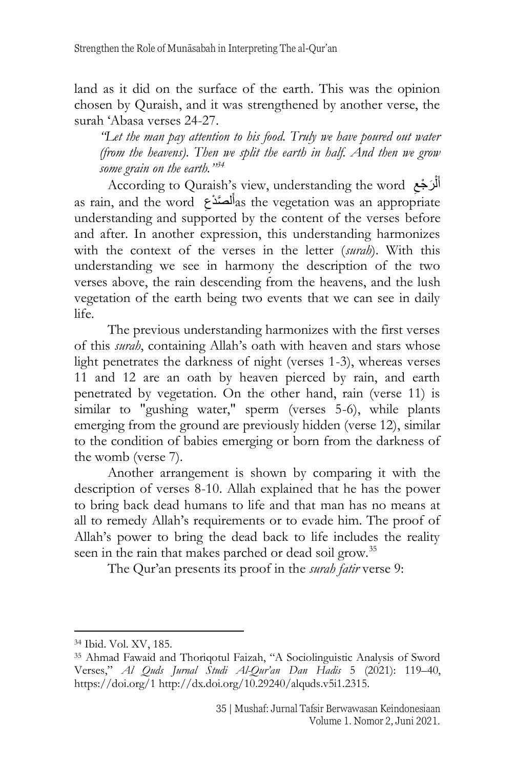land as it did on the surface of the earth. This was the opinion chosen by Quraish, and it was strengthened by another verse, the surah 'Abasa verses 24-27.

*"Let the man pay attention to his food. Truly we have poured out water (from the heavens). Then we split the earth in half. And then we grow some grain on the earth."<sup>34</sup>*

According to Quraish's view, understanding the word أَلْرَجْعِ ِ ْ َ as rain, and the word  $\epsilon$ أَلْصَدْعِ $a$ s the vegetation was an appropriate ِ َ understanding and supported by the content of the verses before and after. In another expression, this understanding harmonizes with the context of the verses in the letter (*surah*). With this understanding we see in harmony the description of the two verses above, the rain descending from the heavens, and the lush vegetation of the earth being two events that we can see in daily life.

The previous understanding harmonizes with the first verses of this *surah*, containing Allah's oath with heaven and stars whose light penetrates the darkness of night (verses 1-3), whereas verses 11 and 12 are an oath by heaven pierced by rain, and earth penetrated by vegetation. On the other hand, rain (verse 11) is similar to "gushing water," sperm (verses 5-6), while plants emerging from the ground are previously hidden (verse 12), similar to the condition of babies emerging or born from the darkness of the womb (verse 7).

Another arrangement is shown by comparing it with the description of verses 8-10. Allah explained that he has the power to bring back dead humans to life and that man has no means at all to remedy Allah's requirements or to evade him. The proof of Allah's power to bring the dead back to life includes the reality seen in the rain that makes parched or dead soil grow.<sup>35</sup>

The Qur'an presents its proof in the *surah fatir* verse 9:

<sup>34</sup> Ibid. Vol. XV, 185.

<sup>35</sup> Ahmad Fawaid and Thoriqotul Faizah, "A Sociolinguistic Analysis of Sword Verses," *Al Quds Jurnal Studi Al-Qur'an Dan Hadis* 5 (2021): 119–40, https://doi.org/1 http://dx.doi.org/10.29240/alquds.v5i1.2315.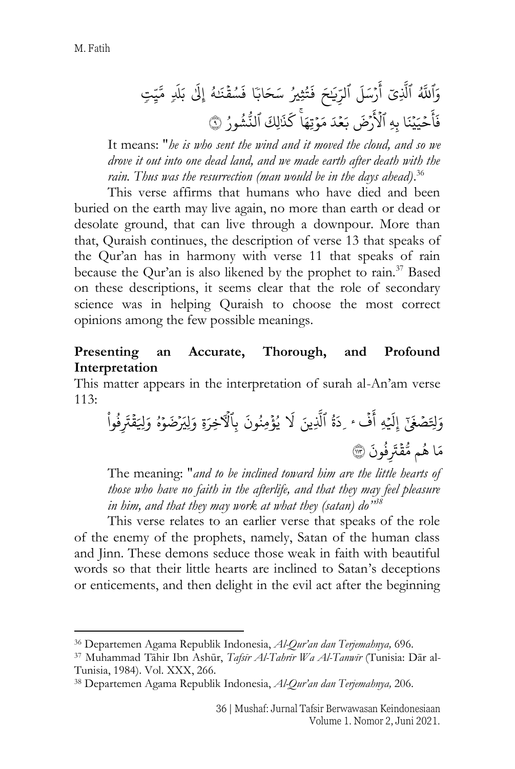َ وٱۡ َُّ ي ّللۡۡٱ ِّ َّ َّل ۡۡ ر َ أ َ ل َ س ۡۡٱ َ ِّي لر َ حۡۡ ثِّيُ ُ ت َ ف ۡۡ اب حَ َ س اۡۡ ق سُ َ ف َ ن ُ هۡۡ َ إ ۡۡ ِّل َ ل <sup>ب</sup> ۡۡ ت َ ِّ ي َّ م ۡ ح َ أ َ ف ي َ ي ا َ ِّ ن هِّ ب ٱ َ لۡر َ ها َ وتِّ م َ د َ ع ب <sup>ض</sup> َ َ ذ َ ك َ لِّك ٱ ُ ور ُ ش لن <sup>٩</sup> ُّ

It means: "*he is who sent the wind and it moved the cloud, and so we drove it out into one dead land, and we made earth after death with the rain. Thus was the resurrection (man would be in the days ahead)*. 36

This verse affirms that humans who have died and been buried on the earth may live again, no more than earth or dead or desolate ground, that can live through a downpour. More than that, Quraish continues, the description of verse 13 that speaks of the Qur'an has in harmony with verse 11 that speaks of rain because the Qur'an is also likened by the prophet to rain.<sup>37</sup> Based on these descriptions, it seems clear that the role of secondary science was in helping Quraish to choose the most correct opinions among the few possible meanings.

## **Presenting an Accurate, Thorough, and Profound Interpretation**

This matter appears in the interpretation of surah al-An'am verse  $113:$ 

ص َ ِِّل َ و ى َ غۡۡ َ ِّل إ هِّۡۡ ف َ أ ٔ ُ ة َ ِّد ۡۡٱ ِّينَ َّ َّل ۡۡ َ لۡۡ ؤ ُ ي َ ون ُ ِّمن ۡۡ ِّ بٱٓأۡل ةِّ َ ِّخر ۡۡ لِّيَ َ و و ضَ ُ هۡۡ ق ِّلَ َ و وا ُ ف ِّ َ َت ۡ ا َ م م ُ ه ق ُّ م َ ون ُ ف ِّ َت <sup>١١٣</sup> َ

The meaning: "*and to be inclined toward him are the little hearts of those who have no faith in the afterlife, and that they may feel pleasure in him, and that they may work at what they (satan) do"<sup>38</sup>*

This verse relates to an earlier verse that speaks of the role of the enemy of the prophets, namely, Satan of the human class and Jinn. These demons seduce those weak in faith with beautiful words so that their little hearts are inclined to Satan's deceptions or enticements, and then delight in the evil act after the beginning

<sup>36</sup> Departemen Agama Republik Indonesia, *Al-Qur'an dan Terjemahnya,* 696.

<sup>37</sup> Muhammad Tāhir Ibn Ashūr, *Tafsīr Al-Tahrīr Wa Al-Tanwīr* (Tunisia: Dār al-Tunisia, 1984). Vol. XXX, 266.

<sup>38</sup> Departemen Agama Republik Indonesia, *Al-Qur'an dan Terjemahnya,* 206.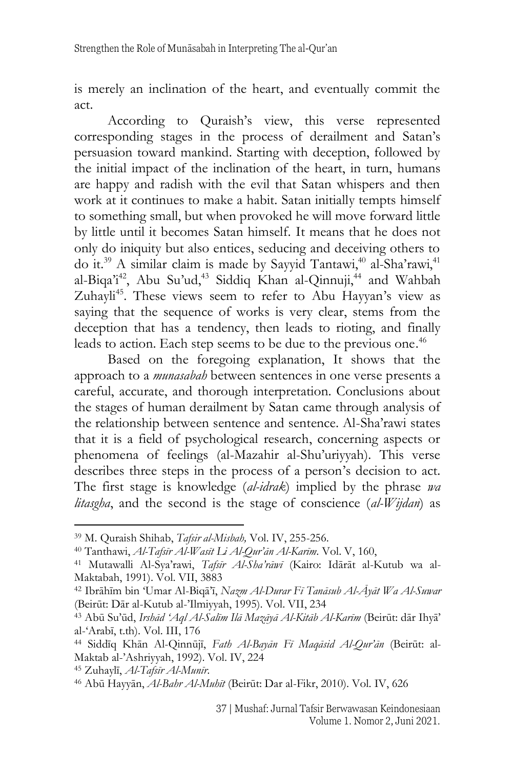is merely an inclination of the heart, and eventually commit the act.

According to Quraish's view, this verse represented corresponding stages in the process of derailment and Satan's persuasion toward mankind. Starting with deception, followed by the initial impact of the inclination of the heart, in turn, humans are happy and radish with the evil that Satan whispers and then work at it continues to make a habit. Satan initially tempts himself to something small, but when provoked he will move forward little by little until it becomes Satan himself. It means that he does not only do iniquity but also entices, seducing and deceiving others to do it.<sup>39</sup> A similar claim is made by Sayyid Tantawi,<sup>40</sup> al-Sha'rawi,<sup>41</sup> al-Biqa'i<sup>42</sup>, Abu Su'ud,<sup>43</sup> Siddiq Khan al-Qinnuji,<sup>44</sup> and Wahbah Zuhayli<sup>45</sup>. These views seem to refer to Abu Hayyan's view as saying that the sequence of works is very clear, stems from the deception that has a tendency, then leads to rioting, and finally leads to action. Each step seems to be due to the previous one. 46

Based on the foregoing explanation, It shows that the approach to a *munasabah* between sentences in one verse presents a careful, accurate, and thorough interpretation. Conclusions about the stages of human derailment by Satan came through analysis of the relationship between sentence and sentence. Al-Sha'rawi states that it is a field of psychological research, concerning aspects or phenomena of feelings (al-Mazahir al-Shu'uriyyah). This verse describes three steps in the process of a person's decision to act. The first stage is knowledge (*al-idrak*) implied by the phrase *wa litasgha*, and the second is the stage of conscience (*al-Wijdan*) as

<sup>39</sup> M. Quraish Shihab, *Tafsir al-Misbah,* Vol. IV, 255-256.

<sup>40</sup> Tanthawi, *Al-Tafsīr Al-Wasīt Li Al-Qur'ān Al-Karīm*. Vol. V, 160,

<sup>41</sup> Mutawalli Al-Sya'rawi, *Tafsīr Al-Sha'rāwī* (Kairo: Idārāt al-Kutub wa al-Maktabah, 1991). Vol. VII, 3883

<sup>42</sup> Ibrāhīm bin 'Umar Al-Biqā'ī, *Nazm Al-Durar Fī Tanāsub Al-Āyāt Wa Al-Suwar* (Beirūt: Dār al-Kutub al-'Ilmiyyah, 1995). Vol. VII, 234

<sup>43</sup> Abū Su'ūd, *Irshād 'Aql Al-Salīm Ilā Mazāyā Al-Kitāb Al-Karīm* (Beirūt: dār Ihyā' al-'Arabī, t.th). Vol. III, 176

<sup>44</sup> Siddīq Khān Al-Qinnūjī, *Fath Al-Bayān Fī Maqāsid Al-Qur'ān* (Beirūt: al-Maktab al-'Ashriyyah, 1992). Vol. IV, 224

<sup>45</sup> Zuhaylī, *Al-Tafsīr Al-Munīr*.

<sup>46</sup> Abū Hayyān, *Al-Bahr Al-Muhīt* (Beirūt: Dar al-Fikr, 2010). Vol. IV, 626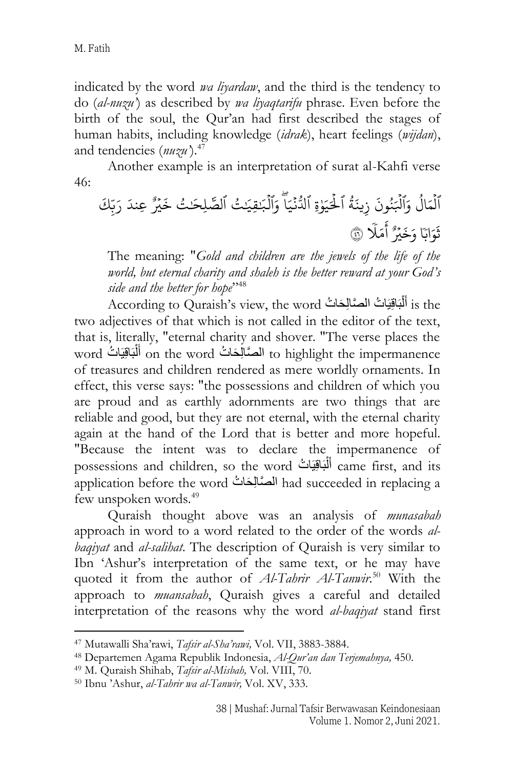indicated by the word *wa liyardaw*, and the third is the tendency to do (*al-nuzu'*) as described by *wa liyaqtarifu* phrase. Even before the birth of the soul, the Qur'an had first described the stages of human habits, including knowledge (*idrak*), heart feelings (*wijdan*), and tendencies (*nuzu'*).<sup>47</sup>

Another example is an interpretation of surat al-Kahfi verse 46:

ٱ ل ُ ال َ م ۡ َ وٱۡ َ ل َ ون ُ ن ۡ ُ ة َ ين ِّ ز ۡٱ َ و ل َ ي ةِّۡٱ ن ُّ دل ا َ ي َۡ وٱۡ ل َ ب َ قِّي ُ تۡٱ لصَّ لِّحَ ُ تۡ ر ي َ خ ۡ َ ِّعندۡ ِّكَ ب َ ر ۡ اب َ و َ ث ا ر ي َ خ َ و ل َ م َ أ ٤٦

The meaning: "*Gold and children are the jewels of the life of the world, but eternal charity and shaleh is the better reward at your God's side and the better for hope*" 48

According to Quraish's view, the word أَلْبَاقِيَاتُ الصَّالِحَاتُ  $\,$  is the ْ two adjectives of that which is not called in the editor of the text, that is, literally, "eternal charity and shover. "The verse places the word أَلْبَاقِيَاتُ on the word الْمَتَالِحَاتُ to highlight the impermanence ْ َ of treasures and children rendered as mere worldly ornaments. In effect, this verse says: "the possessions and children of which you are proud and as earthly adornments are two things that are reliable and good, but they are not eternal, with the eternal charity again at the hand of the Lord that is better and more hopeful. "Because the intent was to declare the impermanence of possessions and children, so the word أَلْبَاقِيَاتُ came first, and its ْ َ application before the word الصَّالِحَاتُ had succeeded in replacing a few unspoken words.<sup>49</sup>

Quraish thought above was an analysis of *munasabah* approach in word to a word related to the order of the words *albaqiyat* and *al-salihat*. The description of Quraish is very similar to Ibn 'Ashur's interpretation of the same text, or he may have quoted it from the author of *Al-Tahrir Al-Tanwir*. <sup>50</sup> With the approach to *muansabah*, Quraish gives a careful and detailed interpretation of the reasons why the word *al-baqiyat* stand first

<sup>47</sup> Mutawalli Sha'rawi, *Tafsir al-Sha'rawi,* Vol. VII, 3883-3884.

<sup>48</sup> Departemen Agama Republik Indonesia, *Al-Qur'an dan Terjemahnya,* 450.

<sup>49</sup> M. Quraish Shihab, *Tafsir al-Misbah,* Vol. VIII, 70.

<sup>50</sup> Ibnu 'Ashur, *al-Tahrir wa al-Tanwir,* Vol. XV, 333.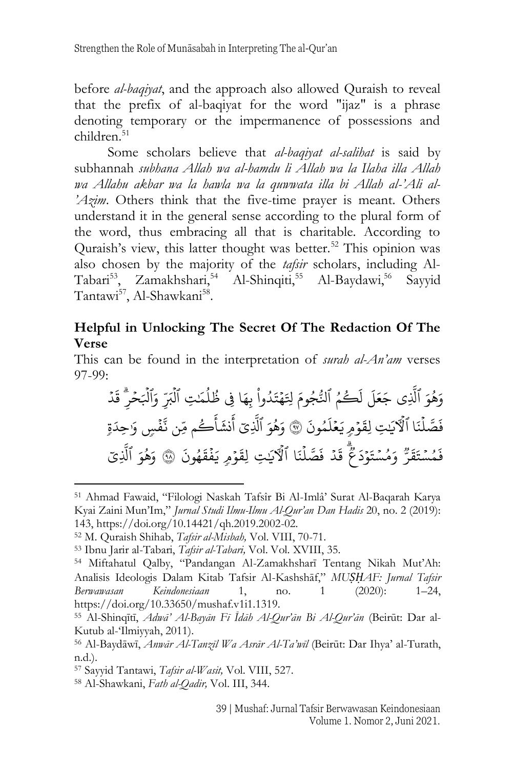before *al-baqiyat*, and the approach also allowed Quraish to reveal that the prefix of al-baqiyat for the word "ijaz" is a phrase denoting temporary or the impermanence of possessions and children. 51

Some scholars believe that *al-baqiyat al-salihat* is said by subhannah *subhana Allah wa al-hamdu li Allah wa la Ilaha illa Allah wa Allahu akbar wa la hawla wa la quwwata illa bi Allah al-'Ali al- 'Azim*. Others think that the five-time prayer is meant. Others understand it in the general sense according to the plural form of the word, thus embracing all that is charitable. According to Quraish's view, this latter thought was better.<sup>52</sup> This opinion was also chosen by the majority of the *tafsir* scholars, including Al-Tabari<sup>53</sup>, Zamakhshari,<sup>54</sup> Al-Shinqiti,<sup>55</sup> Al-Baydawi,<sup>56</sup> Sayyid Tantawi<sup>57</sup>, Al-Shawkani<sup>58</sup>.

## **Helpful in Unlocking The Secret Of The Redaction Of The Verse**

This can be found in the interpretation of *surah al-An'am* verses 97-99:

َ و ُ ه و ۡٱ ِّي َ َّ َّل ۡ َ ل َ ع َ ج ۡ ُ م كُ َ ل ۡٱ َ وم جُ ُّ ل ۡ ه َ ِِّل وا ُ د َ ت ۡ ا َ ِّه ِّفۡ ب ۡ َ م ُ ل ُ ظ ِّتۡٱ ل ِّ َ بۡ َ وٱۡ َ ل ۡ ِّ حر د َ ق ل صَّ َ ف ا َ ن ۡٱٓأۡل َ ي ِّتۡ و َ لِّق م ۡ ع َ ي َ ون ُ م َ ل ٩٧ۡ َ و ُ ه َ و ۡٱ ِّي َّ َّل ۡ م كُ َ أ َ نش َ أ ۡ ِّن م ۡ ف َّ ن سۡ َ و ة َ ِّحد س ُ م َ ف ر َ ق َ ت ۡۡ س ُ م َ و و َ ت ع َ د ۡۡ د َ ق ۡۡ ل صَّ َ ف ا َ ن ۡۡٱٓأۡل َ ي ِّتۡۡ و َ لِّق م ۡۡ ف َ ي َ ون ُ ه <sup>ق</sup> ٩٨ۡۡ َ َ و ُ ه َ و ۡۡٱ ِّي َّ َّل

<sup>54</sup> Miftahatul Qalby, "Pandangan Al-Zamakhsharī Tentang Nikah Mut'Ah: Analisis Ideologis Dalam Kitab Tafsir Al-Kashshāf," *MUṢḤAF: Jurnal Tafsir Berwawasan Keindonesiaan* 1, no. 1 (2020): 1–24, https://doi.org/10.33650/mushaf.v1i1.1319.

<sup>51</sup> Ahmad Fawaid, "Filologi Naskah Tafsîr Bi Al-Imlâ' Surat Al-Baqarah Karya Kyai Zaini Mun'Im," *Jurnal Studi Ilmu-Ilmu Al-Qur'an Dan Hadis* 20, no. 2 (2019): 143, https://doi.org/10.14421/qh.2019.2002-02.

<sup>52</sup> M. Quraish Shihab, *Tafsir al-Misbah,* Vol. VIII, 70-71.

<sup>53</sup> Ibnu Jarir al-Tabari, *Tafsir al-Tabari,* Vol. Vol. XVIII, 35.

<sup>55</sup> Al-Shinqītī, *Adwā' Al-Bayān Fī Īdāh Al-Qur'ān Bi Al-Qur'ān* (Beirūt: Dar al-Kutub al-'Ilmiyyah, 2011).

<sup>56</sup> Al-Baydāwī, *Anwār Al-Tanzīl Wa Asrār Al-Ta'wīl* (Beirūt: Dar Ihya' al-Turath, n.d.).

<sup>57</sup> Sayyid Tantawi, *Tafsir al-Wasit,* Vol. VIII, 527.

<sup>58</sup> Al-Shawkani, *Fath al-Qadir,* Vol. III, 344.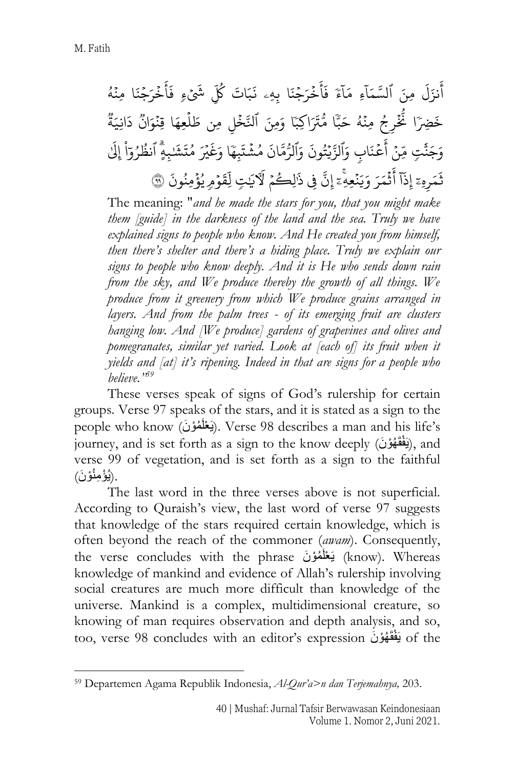$\tilde{i}$ نزَلَ ِ<br>په أَنزَلَ مِنَ ٱ  $\tilde{1}$ لنَّسَمَا<sup>ْءِ</sup>ِ  $\tilde{1}$ مَآءَ فَأَخُ  $\ddot{\cdot}$ ِ<br>ع أ  $\ddot{\cdot}$ فَأَخْرَجْنَا بِهِۦ نَبَاتَ كُلِّ  $\ddot{ }$ و<br>مما , كلِ  $\tilde{\cdot}$ شئءٍ فَاخً  $\ddot{\cdot}$ ِ<br>ع أ  $\ddot{\cdot}$ فَأَخْرَجْنَا مِنْهُ  $\ddot{ }$  $\ddot{\cdot}$ و<br>لم خَضِرًا  $\ddot{\cdot}$ ر<br>د ثُّخْرِجُ مِنْهُ حَبَّا مُّتَرَاكِبَا وَمِنَ ٱلنَّخْلِ مِن طَلْعِهَا قِنْوَانٌ ُ  $\ddot{\cdot}$ ر  $\ddot{\cdot}$ .<br>آ  $\ddot{\cdot}$ وو<br>مو دَانِيَة وَجَنَّتٍ مِّنۡ أَعۡ  $\ddot{\phantom{0}}$ ہ<br>م ا دَّ أَعۡنَابِ وَٱلزَّيۡتُونَ وَٱلرُّمَّانَ مُشۡتَبِهَا وَغَيۡرَ  $\ddot{\phantom{0}}$ ر<br>به ះ ر  $\ddot{\cdot}$ وَغَيْرَ مُتَشَبِهٍ ۗ ٱنظُرُوٓاْ ۚ ֦֘ و ُ و  $\frac{1}{1}$  $\overline{a}$ .<br>آ إِلَىٰ هِّ ِّ ر َ م  $\ddot{\cdot}$ ثَمَرِهِۦٓ بر<br>آ ا ِّذ ث إ  $\ddot{\phantom{0}}$ ۔<br>? أَثْمَرَ وَيَنْعِهِ ۚ إِنَّ فِي  $\ddot{\cdot}$  $\overline{a}$  $\overline{\phantom{a}}$ .<br>آ ذَالِكُمْ لَآيَتٍ لِّقَوْ  $\overline{\phantom{a}}$ ر ֦֧  $\ddot{\phantom{0}}$ ۳<br>آ لِّقَوۡمِ يُؤۡمِنُونَ ۞ 3 و<br>د

The meaning: "*and he made the stars for you, that you might make them [guide] in the darkness of the land and the sea. Truly we have explained signs to people who know. And He created you from himself, then there's shelter and there's a hiding place. Truly we explain our signs to people who know deeply. And it is He who sends down rain from the sky, and We produce thereby the growth of all things. We produce from it greenery from which We produce grains arranged in layers. And from the palm trees - of its emerging fruit are clusters hanging low. And [We produce] gardens of grapevines and olives and pomegranates, similar yet varied. Look at [each of] its fruit when it yields and [at] it's ripening. Indeed in that are signs for a people who believe."<sup>59</sup>*

These verses speak of signs of God's rulership for certain groups. Verse 97 speaks of the stars, and it is stated as a sign to the people who know (يَعْلَمُوْنَ). Verse 98 describes a man and his life's journey, and is set forth as a sign to the know deeply (يَفْقَهُوْنَ), and verse 99 of vegetation, and is set forth as a sign to the faithful ِ (يُؤْمِنُوْنَ).

The last word in the three verses above is not superficial. According to Quraish's view, the last word of verse 97 suggests that knowledge of the stars required certain knowledge, which is often beyond the reach of the commoner (*awam*). Consequently, the verse concludes with the phrase بَعْلَمُوْنَ (know). Whereas knowledge of mankind and evidence of Allah's rulership involving social creatures are much more difficult than knowledge of the universe. Mankind is a complex, multidimensional creature, so knowing of man requires observation and depth analysis, and so, too, verse 98 concludes with an editor's expression يَفْقَهُوْنَ of the

<sup>59</sup> Departemen Agama Republik Indonesia, *Al-Qur'a>n dan Terjemahnya,* 203.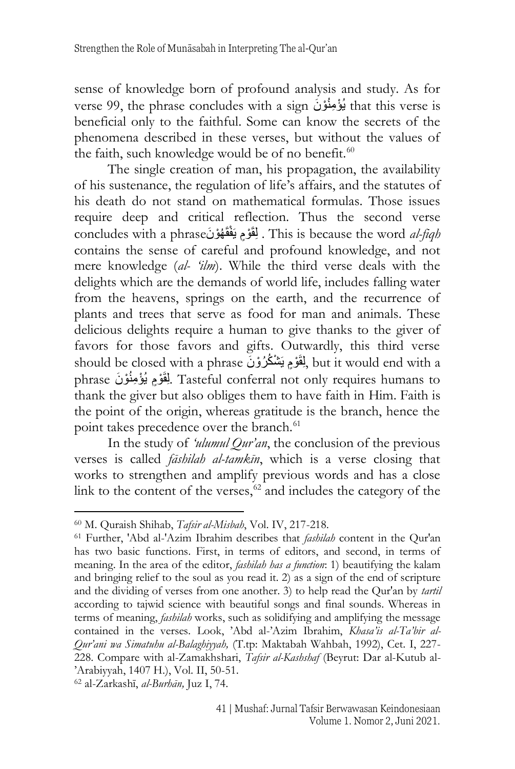sense of knowledge born of profound analysis and study. As for verse 99, the phrase concludes with a sign نُؤْمِنُوْنَ that this verse is beneficial only to the faithful. Some can know the secrets of the phenomena described in these verses, but without the values of the faith, such knowledge would be of no benefit.<sup>60</sup>

The single creation of man, his propagation, the availability of his sustenance, the regulation of life's affairs, and the statutes of his death do not stand on mathematical formulas. Those issues require deep and critical reflection. Thus the second verse concludes with a phraseنَ وْهُ ْفقَ ْو مَيَ َلقَِ. This is because the word *al-fiqh* contains the sense of careful and profound knowledge, and not mere knowledge (*al- 'ilm*). While the third verse deals with the delights which are the demands of world life, includes falling water from the heavens, springs on the earth, and the recurrence of plants and trees that serve as food for man and animals. These delicious delights require a human to give thanks to the giver of favors for those favors and gifts. Outwardly, this third verse should be closed with a phrase لِمُقَوْمٍ يَشْكُرُوْنَ but it would end with a phrase ِلْقَوْمٍ يُؤْمِنُوْنَ Tasteful conferral not only requires humans to thank the giver but also obliges them to have faith in Him. Faith is the point of the origin, whereas gratitude is the branch, hence the point takes precedence over the branch.<sup>61</sup>

In the study of *'ulumul Qur'an*, the conclusion of the previous verses is called *fāshilah al-tamkīn*, which is a verse closing that works to strengthen and amplify previous words and has a close link to the content of the verses,  $62$  and includes the category of the

<sup>62</sup> al-Zarkashī, *al-Burhān,* Juz I, 74.

<sup>60</sup> M. Quraish Shihab, *Tafsir al-Misbah*, Vol. IV, 217-218.

<sup>61</sup> Further, 'Abd al-'Azim Ibrahim describes that *fashilah* content in the Qur'an has two basic functions. First, in terms of editors, and second, in terms of meaning. In the area of the editor, *fashilah has a function*: 1) beautifying the kalam and bringing relief to the soul as you read it. 2) as a sign of the end of scripture and the dividing of verses from one another. 3) to help read the Qur'an by *tartil* according to tajwid science with beautiful songs and final sounds. Whereas in terms of meaning, *fashilah* works, such as solidifying and amplifying the message contained in the verses. Look, 'Abd al-'Azim Ibrahim, *Khasa'is al-Ta'bir al-Qur'ani wa Simatuhu al-Balaghiyyah,* (T.tp: Maktabah Wahbah, 1992), Cet. I, 227- 228. Compare with al-Zamakhshari, *Tafsir al-Kashshaf* (Beyrut: Dar al-Kutub al- 'Arabiyyah, 1407 H.), Vol. II, 50-51.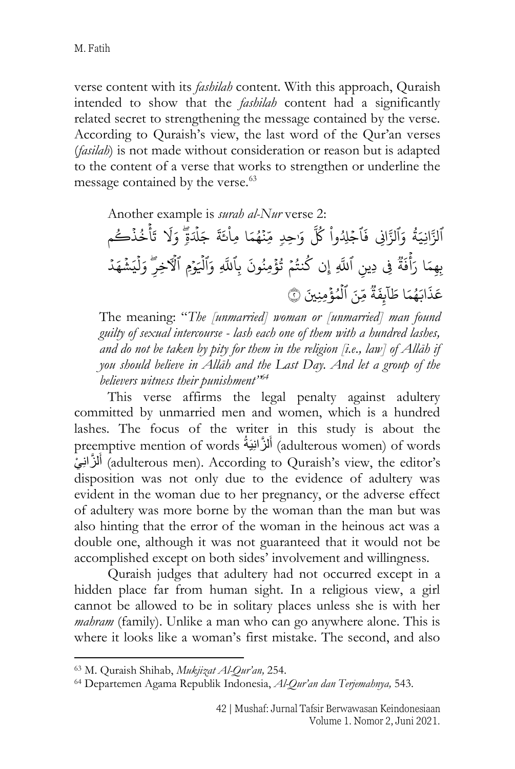verse content with its *fashilah* content. With this approach, Quraish intended to show that the *fashilah* content had a significantly related secret to strengthening the message contained by the verse. According to Quraish's view, the last word of the Qur'an verses (*fasilah*) is not made without consideration or reason but is adapted to the content of a verse that works to strengthen or underline the message contained by the verse.<sup>63</sup>

Another example is *surah al-Nur* verse 2: ٱلزَّانِيَةُ وَٱلزَّانِي ر<br>پون  $\ddot{\cdot}$ فَاجْلِدُوا  $\ddot{\phantom{0}}$  $\ddot{\phantom{0}}$ ر كُلَّ وَ<sub>ْ</sub>حِدٍ مِّنْهُمَا  $\ddot{\cdot}$ و<br>م  $\frac{1}{2}$ مِاْئَةَ جَلْدَةٍ  $\ddot{\phantom{0}}$ .<br>۱ ر<br>1 وَلَا تَأْخُذُكُم اد<br>ج  $\ddot{\cdot}$ ُ :<br>بِهِمَا رَ دة<br>م أ وو<br>د ة  $\ddot{\cdot}$ فَةٌ فِی دِینِ ٱللَّهِ إِن كُنتُمۡ تُؤۡمِنُونَ بِٱللَّهِ وَٱلۡيَوۡمِ ٱلۡٱخِرِّ وَلۡيَشۡهَدۡ  $\overline{\phantom{a}}$ ُ ر<br>م 3 و<br>د ُ ہ<br>1  $\ddot{\phantom{0}}$ .<br>1 ; .<br>ا ا َ م ه َ اب ر<br>م  $\ddot{\cdot}$ ذ َ ع  $\tilde{1}$ ا َ ط وو<br>د .<br>بِفَةٌ مِّنَ ٱلْمُؤْمِنِينَ ۞ ہ<br>1 ل 3 ر<br>م

The meaning: "*The [unmarried] woman or [unmarried] man found guilty of sexual intercourse - lash each one of them with a hundred lashes, and do not be taken by pity for them in the religion [i.e., law] of Allāh if you should believe in Allāh and the Last Day. And let a group of the believers witness their punishment"<sup>64</sup>*

This verse affirms the legal penalty against adultery committed by unmarried men and women, which is a hundred lashes. The focus of the writer in this study is about the preemptive mention of words أَلْزَانِيَةُ (adulterous women) of words َ أَلْزَّانِيْ) (adulterous men). According to Quraish's view, the editor's َ disposition was not only due to the evidence of adultery was evident in the woman due to her pregnancy, or the adverse effect of adultery was more borne by the woman than the man but was also hinting that the error of the woman in the heinous act was a double one, although it was not guaranteed that it would not be accomplished except on both sides' involvement and willingness.

Quraish judges that adultery had not occurred except in a hidden place far from human sight. In a religious view, a girl cannot be allowed to be in solitary places unless she is with her *mahram* (family). Unlike a man who can go anywhere alone. This is where it looks like a woman's first mistake. The second, and also

<sup>63</sup> M. Quraish Shihab, *Mukjizat Al-Qur'an,* 254.

<sup>64</sup> Departemen Agama Republik Indonesia, *Al-Qur'an dan Terjemahnya,* 543.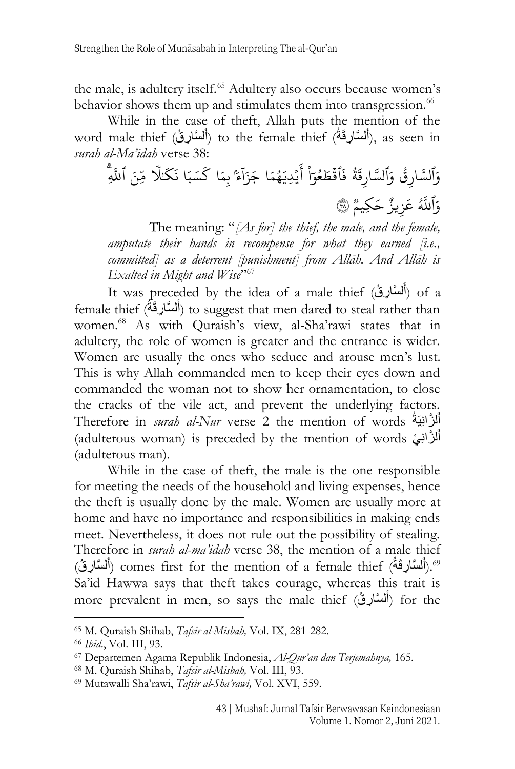the male, is adultery itself.<sup>65</sup> Adultery also occurs because women's behavior shows them up and stimulates them into transgression.<sup>66</sup>

While in the case of theft, Allah puts the mention of the word male thief (أَلْسَّارِقُهُ) to the female thief (أَلْسَّارِقُ), as seen in َ َ *surah al-Ma'idah* verse 38:

وَٱلسَّارِقُ وَٱلسَّارِقَةُ ؚ و<br>مذہبہ  $\ddot{\phantom{0}}$ لسَّارِقَةُ  $\ddot{\cdot}$ فَٱقۡطَعُوٓاْ أَيۡ  $\ddot{\ddot{\cdot}}$ و<br>و  $\ddot{\phantom{0}}$  $\ddot{\phantom{0}}$ ِ<br>ع أَيۡدِيَهُمَا ُ جَزَآءً بِمَا كَسَبَا ا  $\overline{a}$ ֖֖֖֖֚֚֚֚֚֚֚֚֡֝֝<br>֪֪֪֪֪֪֪֚֡֝֝**֟** كسَبَا َ .<br>نگا .<br>آ لَّا مِّنَ ٱللَّهِ وَٱللَّهُ عَزِيزٌ حَكِيمٌ ۞

The meaning: "*[As for] the thief, the male, and the female, amputate their hands in recompense for what they earned [i.e., committed] as a deterrent [punishment] from Allāh. And Allāh is Exalted in Might and Wise*" 67

It was preceded by the idea of a male thief (أَلْسَّارِقُ) of a َ female thief (أَلْسَّارِقَةُ) to suggest that men dared to steal rather than َ women.<sup>68</sup> As with Quraish's view, al-Sha'rawi states that in adultery, the role of women is greater and the entrance is wider. Women are usually the ones who seduce and arouse men's lust. This is why Allah commanded men to keep their eyes down and commanded the woman not to show her ornamentation, to close the cracks of the vile act, and prevent the underlying factors. Therefore in *surah al-Nur* verse 2 the mention of words ِزانَّ ل أ يَةُ َ (adulterous woman) is preceded by the mention of words أَلْمَزَّانِيْ (adulterous woman) َ (adulterous man).

While in the case of theft, the male is the one responsible for meeting the needs of the household and living expenses, hence the theft is usually done by the male. Women are usually more at home and have no importance and responsibilities in making ends meet. Nevertheless, it does not rule out the possibility of stealing. Therefore in *surah al-ma'idah* verse 38, the mention of a male thief 0°.(أَلسَّارِقَةُ) comes first for the mention of a female thief<sup>). (أ</sup>َلسَّارِقُ) َ اُ Sa'id Hawwa says that theft takes courage, whereas this trait is more prevalent in men, so says the male thief (أَلْمَسَّارِقُ) for the َ

<sup>65</sup> M. Quraish Shihab, *Tafsir al-Misbah,* Vol. IX, 281-282.

<sup>66</sup> *Ibid*., Vol. III, 93.

<sup>67</sup> Departemen Agama Republik Indonesia, *Al-Qur'an dan Terjemahnya,* 165.

<sup>68</sup> M. Quraish Shihab, *Tafsir al-Misbah,* Vol. III, 93.

<sup>69</sup> Mutawalli Sha'rawi, *Tafsir al-Sha'rawi,* Vol. XVI, 559.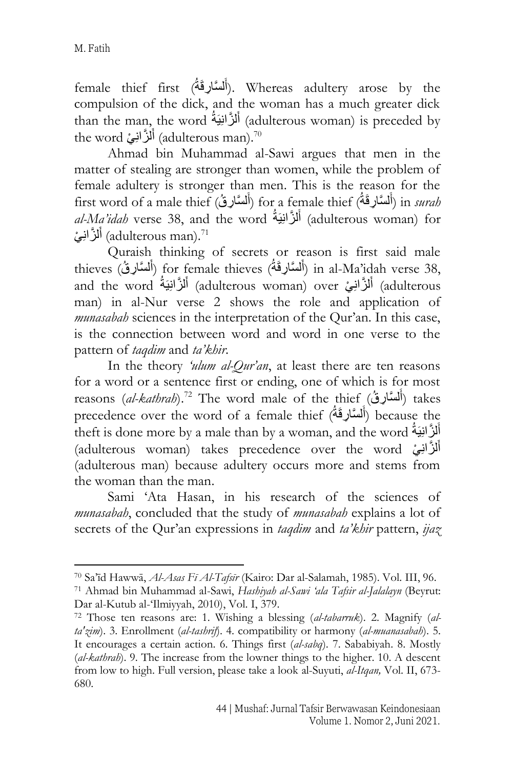female thief first (أَلْسَنَارِقَةُ). Whereas adultery arose by the َ compulsion of the dick, and the woman has a much greater dick than the man, the word أَلْزَانِيَةُ (adulterous woman) is preceded by َ the word أَلْزَّانِيْ (adulterous man).<sup>70</sup> َ

Ahmad bin Muhammad al-Sawi argues that men in the matter of stealing are stronger than women, while the problem of female adultery is stronger than men. This is the reason for the first word of a male thief (أَلسَّارِقُهُ) for a female thief (أَلسَّارِقُ) in *surah* َ َ *al-Ma'idah* verse 38, and the word أَلْزَانِيَةُ (adulterous woman) for َ أَلْزَّانِيْ) (adulterous man).<sup>71</sup> َ

Quraish thinking of secrets or reason is first said male thieves (أَلْسَّارِقَةُ) for female thieves (أَلْسَّارِقَةُ) in al-Ma'idah verse 38, َ َ and the word أَلْزَانِيَّةُ (adulterous woman) over أَلزَّانِيَةُ adulterous) and the word َ َ man) in al-Nur verse 2 shows the role and application of *munasabah* sciences in the interpretation of the Qur'an. In this case, is the connection between word and word in one verse to the pattern of *taqdim* and *ta'khir*.

In the theory *'ulum al-Qur'an*, at least there are ten reasons for a word or a sentence first or ending, one of which is for most reasons *(al-kathrah*).<sup>72</sup> The word male of the thief (أَلْمَسَأْلِوقُ) takes َ precedence over the word of a female thief (أَلسَّارِقَةُ) because the َ theft is done more by a male than by a woman, and the word أَلْزَّ النِبَةُ َ (adulterous woman) takes precedence over the word أَلْزَّانِيْ َ (adulterous man) because adultery occurs more and stems from the woman than the man.

Sami 'Ata Hasan, in his research of the sciences of *munasabah*, concluded that the study of *munasabah* explains a lot of secrets of the Qur'an expressions in *taqdim* and *ta'khir* pattern, *ijaz*

<sup>70</sup> Sa'īd Hawwā, *Al-Asas Fī Al-Tafsīr* (Kairo: Dar al-Salamah, 1985). Vol. III, 96.

<sup>71</sup> Ahmad bin Muhammad al-Sawi, *Hashiyah al-Sawi 'ala Tafsir al-Jalalayn* (Beyrut: Dar al-Kutub al-'Ilmiyyah, 2010), Vol. I, 379.

<sup>72</sup> Those ten reasons are: 1. Wishing a blessing (*al-tabarruk*). 2. Magnify (*alta'zim*). 3. Enrollment (*al-tashrif*). 4. compatibility or harmony (*al-muanasabah*). 5. It encourages a certain action. 6. Things first (*al-sabq*). 7. Sababiyah. 8. Mostly (*al-kathrah*). 9. The increase from the lowner things to the higher. 10. A descent from low to high. Full version, please take a look al-Suyuti, *al-Itqan,* Vol. II, 673- 680.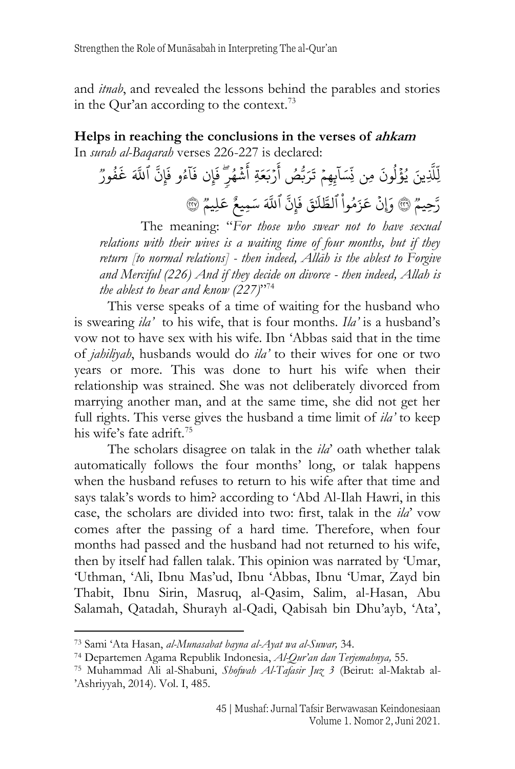and *itnab*, and revealed the lessons behind the parables and stories in the Qur'an according to the context.<sup>73</sup>

#### **Helps in reaching the conclusions in the verses of ahkam** In *surah al-Baqarah* verses 226-227 is declared:

ِّينَ َّ َِّّل .<br>آ لِّلَّذِينَ يُؤْلُونَ مِن  $\frac{1}{2}$ ر<br>ا و<br>ا  $\tilde{1}$ ِّ<br>نِّسَا ن  $\overline{\phantom{a}}$ ِّبِهِمۡ تَرَبُّصُ أَرۡ  $\ddot{\phantom{0}}$ د<br>ع أَرْبَعَةِ أَشْ  $\ddot{\phantom{0}}$ ے<br>ج اشْهُرٍّ فَإِن ُ  $\ddot{\cdot}$ فَإِن  $\tilde{1}$ ا  $\ddot{\cdot}$ فَآءُو فَإِنَّ و<br>و  $\tilde{\cdot}$ فَإِنَّ ٱللَّهَ غَفُورٌ ٛ  $\ddot{\cdot}$ غ رَّحِيمٌ ۞ وَإِنْ عَزَمُواْ ٱ  $\ddot{\phantom{0}}$  $\ddot{\phantom{0}}$ ر j ِ<br>اَ لطَّلَقَ فَإِنَّ  $\ddot{\cdot}$ فَإِنَّ ٱللَّهَ سَمِيعٌ عَلِيمٌ ۞

The meaning: "*For those who swear not to have sexual relations with their wives is a waiting time of four months, but if they return [to normal relations] - then indeed, Allāh is the ablest to Forgive and Merciful (226) And if they decide on divorce - then indeed, Allah is the ablest to hear and know (227)*" 74

This verse speaks of a time of waiting for the husband who is swearing *ila'* to his wife, that is four months. *Ila'* is a husband's vow not to have sex with his wife. Ibn 'Abbas said that in the time of *jahiliyah*, husbands would do *ila'* to their wives for one or two years or more. This was done to hurt his wife when their relationship was strained. She was not deliberately divorced from marrying another man, and at the same time, she did not get her full rights. This verse gives the husband a time limit of *ila'* to keep his wife's fate adrift.<sup>75</sup>

The scholars disagree on talak in the *ila*' oath whether talak automatically follows the four months' long, or talak happens when the husband refuses to return to his wife after that time and says talak's words to him? according to 'Abd Al-Ilah Hawri, in this case, the scholars are divided into two: first, talak in the *ila*' vow comes after the passing of a hard time. Therefore, when four months had passed and the husband had not returned to his wife, then by itself had fallen talak. This opinion was narrated by 'Umar, 'Uthman, 'Ali, Ibnu Mas'ud, Ibnu 'Abbas, Ibnu 'Umar, Zayd bin Thabit, Ibnu Sirin, Masruq, al-Qasim, Salim, al-Hasan, Abu Salamah, Qatadah, Shurayh al-Qadi, Qabisah bin Dhu'ayb, 'Ata',

<sup>73</sup> Sami 'Ata Hasan, *al-Munasabat bayna al-Ayat wa al-Suwar,* 34.

<sup>74</sup> Departemen Agama Republik Indonesia, *Al-Qur'an dan Terjemahnya,* 55.

<sup>75</sup> Muhammad Ali al-Shabuni, *Shofwah Al-Tafasir Juz 3* (Beirut: al-Maktab al- 'Ashriyyah, 2014). Vol. I, 485.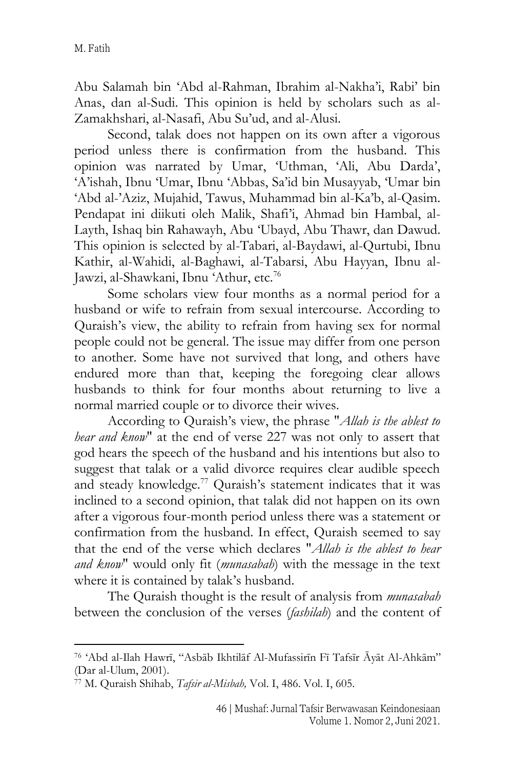Abu Salamah bin 'Abd al-Rahman, Ibrahim al-Nakha'i, Rabi' bin Anas, dan al-Sudi. This opinion is held by scholars such as al-Zamakhshari, al-Nasafi, Abu Su'ud, and al-Alusi.

Second, talak does not happen on its own after a vigorous period unless there is confirmation from the husband. This opinion was narrated by Umar, 'Uthman, 'Ali, Abu Darda', 'A'ishah, Ibnu 'Umar, Ibnu 'Abbas, Sa'id bin Musayyab, 'Umar bin 'Abd al-'Aziz, Mujahid, Tawus, Muhammad bin al-Ka'b, al-Qasim. Pendapat ini diikuti oleh Malik, Shafi'i, Ahmad bin Hambal, al-Layth, Ishaq bin Rahawayh, Abu 'Ubayd, Abu Thawr, dan Dawud. This opinion is selected by al-Tabari, al-Baydawi, al-Qurtubi, Ibnu Kathir, al-Wahidi, al-Baghawi, al-Tabarsi, Abu Hayyan, Ibnu al-Jawzi, al-Shawkani, Ibnu 'Athur, etc.<sup>76</sup>

Some scholars view four months as a normal period for a husband or wife to refrain from sexual intercourse. According to Quraish's view, the ability to refrain from having sex for normal people could not be general. The issue may differ from one person to another. Some have not survived that long, and others have endured more than that, keeping the foregoing clear allows husbands to think for four months about returning to live a normal married couple or to divorce their wives.

According to Quraish's view, the phrase "*Allah is the ablest to hear and know*" at the end of verse 227 was not only to assert that god hears the speech of the husband and his intentions but also to suggest that talak or a valid divorce requires clear audible speech and steady knowledge.<sup>77</sup> Quraish's statement indicates that it was inclined to a second opinion, that talak did not happen on its own after a vigorous four-month period unless there was a statement or confirmation from the husband. In effect, Quraish seemed to say that the end of the verse which declares "*Allah is the ablest to hear and know*" would only fit (*munasabah*) with the message in the text where it is contained by talak's husband.

The Quraish thought is the result of analysis from *munasabah* between the conclusion of the verses (*fashilah*) and the content of

<sup>76</sup> 'Abd al-Ilah Hawrī, "Asbāb Ikhtilāf Al-Mufassirīn Fī Tafsīr Āyāt Al-Ahkām" (Dar al-Ulum, 2001).

<sup>77</sup> M. Quraish Shihab, *Tafsir al-Misbah,* Vol. I, 486. Vol. I, 605.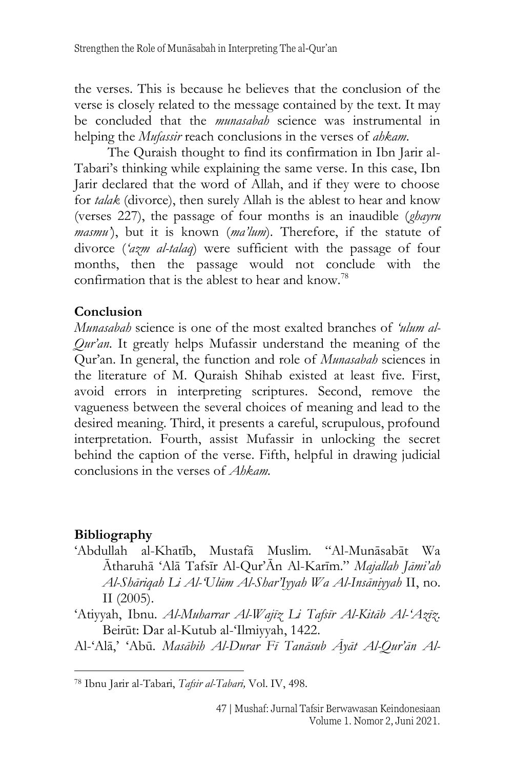the verses. This is because he believes that the conclusion of the verse is closely related to the message contained by the text. It may be concluded that the *munasabah* science was instrumental in helping the *Mufassir* reach conclusions in the verses of *ahkam*.

The Quraish thought to find its confirmation in Ibn Jarir al-Tabari's thinking while explaining the same verse. In this case, Ibn Jarir declared that the word of Allah, and if they were to choose for *talak* (divorce), then surely Allah is the ablest to hear and know (verses 227), the passage of four months is an inaudible (*ghayru masmu'*), but it is known (*ma'lum*). Therefore, if the statute of divorce (*'azm al-talaq*) were sufficient with the passage of four months, then the passage would not conclude with the confirmation that is the ablest to hear and know.<sup>78</sup>

## **Conclusion**

*Munasabah* science is one of the most exalted branches of *'ulum al-Qur'an*. It greatly helps Mufassir understand the meaning of the Qur'an. In general, the function and role of *Munasabah* sciences in the literature of M. Quraish Shihab existed at least five. First, avoid errors in interpreting scriptures. Second, remove the vagueness between the several choices of meaning and lead to the desired meaning. Third, it presents a careful, scrupulous, profound interpretation. Fourth, assist Mufassir in unlocking the secret behind the caption of the verse. Fifth, helpful in drawing judicial conclusions in the verses of *Ahkam.*

## **Bibliography**

'Abdullah al-Khatīb, Mustafā Muslim. "Al-Munāsabāt Wa Ātharuhā 'Alā Tafsīr Al-Qur'Ān Al-Karīm." *Majallah Jāmi'ah Al-Shāriqah Li Al-'Ulūm Al-Shar'Iyyah Wa Al-Insāniyyah* II, no. II (2005).

'Atiyyah, Ibnu. *Al-Muharrar Al-Wajīz Li Tafsīr Al-Kitāb Al-'Azīz*. Beirūt: Dar al-Kutub al-'Ilmiyyah, 1422.

Al-'Alā,' 'Abū. *Masābih Al-Durar Fī Tanāsub Āyāt Al-Qur'ān Al-*

<sup>78</sup> Ibnu Jarir al-Tabari, *Tafsir al-Tabari,* Vol. IV, 498.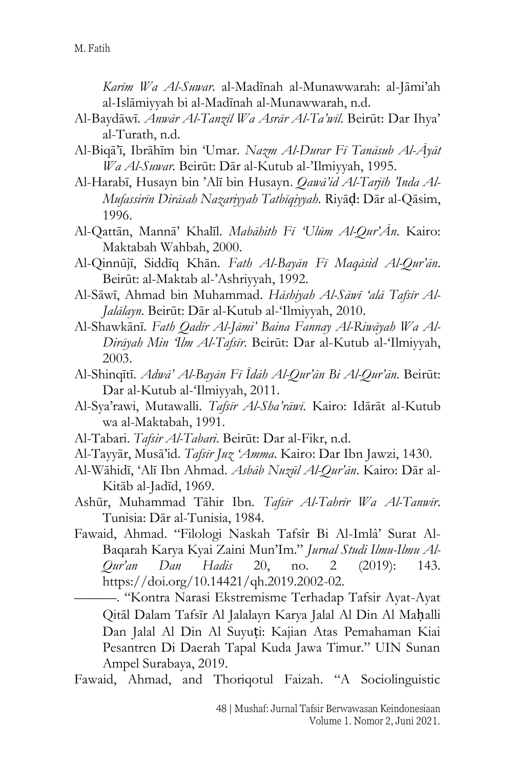*Karīm Wa Al-Suwar*. al-Madīnah al-Munawwarah: al-Jāmi'ah al-Islāmiyyah bi al-Madīnah al-Munawwarah, n.d.

- Al-Baydāwī. *Anwār Al-Tanzīl Wa Asrār Al-Ta'wīl*. Beirūt: Dar Ihya' al-Turath, n.d.
- Al-Biqā'ī, Ibrāhīm bin 'Umar. *Nazm Al-Durar Fī Tanāsub Al-Āyāt Wa Al-Suwar*. Beirūt: Dār al-Kutub al-'Ilmiyyah, 1995.
- Al-Harabī, Husayn bin 'Alī bin Husayn. *Qawā'id Al-Tarjīh 'Inda Al-Mufassirīn Dirāsah Nazariyyah Tatbīqiyyah*. Riyāḍ: Dār al-Qāsim, 1996.
- Al-Qattān, Mannā' Khalīl. *Mabāhith Fī 'Ulūm Al-Qur'Ān*. Kairo: Maktabah Wahbah, 2000.
- Al-Qinnūjī, Siddīq Khān. *Fath Al-Bayān Fī Maqāsid Al-Qur'ān*. Beirūt: al-Maktab al-'Ashriyyah, 1992.
- Al-Sāwī, Ahmad bin Muhammad. *Hāshiyah Al-Sāwī 'alā Tafsīr Al-Jalālayn*. Beirūt: Dār al-Kutub al-'Ilmiyyah, 2010.
- Al-Shawkānī. *Fath Qadīr Al-Jāmi' Baina Fannay Al-Riwāyah Wa Al-Dirāyah Min 'Ilm Al-Tafsīr*. Beirūt: Dar al-Kutub al-'Ilmiyyah, 2003.
- Al-Shinqītī. *Adwā' Al-Bayān Fī Īdāh Al-Qur'ān Bi Al-Qur'ān*. Beirūt: Dar al-Kutub al-'Ilmiyyah, 2011.
- Al-Sya'rawi, Mutawalli. *Tafsīr Al-Sha'rāwī*. Kairo: Idārāt al-Kutub wa al-Maktabah, 1991.
- Al-Tabari. *Tafsir Al-Tabari*. Beirūt: Dar al-Fikr, n.d.
- Al-Tayyār, Musā'id. *Tafsīr Juz 'Amma*. Kairo: Dar Ibn Jawzi, 1430.
- Al-Wāhidī, 'Alī Ibn Ahmad. *Asbāb Nuzūl Al-Qur'ān*. Kairo: Dār al-Kitāb al-Jadīd, 1969.
- Ashūr, Muhammad Tāhir Ibn. *Tafsīr Al-Tahrīr Wa Al-Tanwīr*. Tunisia: Dār al-Tunisia, 1984.
- Fawaid, Ahmad. "Filologi Naskah Tafsîr Bi Al-Imlâ' Surat Al-Baqarah Karya Kyai Zaini Mun'Im." *Jurnal Studi Ilmu-Ilmu Al-Qur'an Dan Hadis* 20, no. 2 (2019): 143. https://doi.org/10.14421/qh.2019.2002-02.

———. "Kontra Narasi Ekstremisme Terhadap Tafsir Ayat-Ayat Qitāl Dalam Tafsīr Al Jalalayn Karya Jalal Al Din Al Maḥalli Dan Jalal Al Din Al Suyuṭi: Kajian Atas Pemahaman Kiai Pesantren Di Daerah Tapal Kuda Jawa Timur." UIN Sunan Ampel Surabaya, 2019.

Fawaid, Ahmad, and Thoriqotul Faizah. "A Sociolinguistic